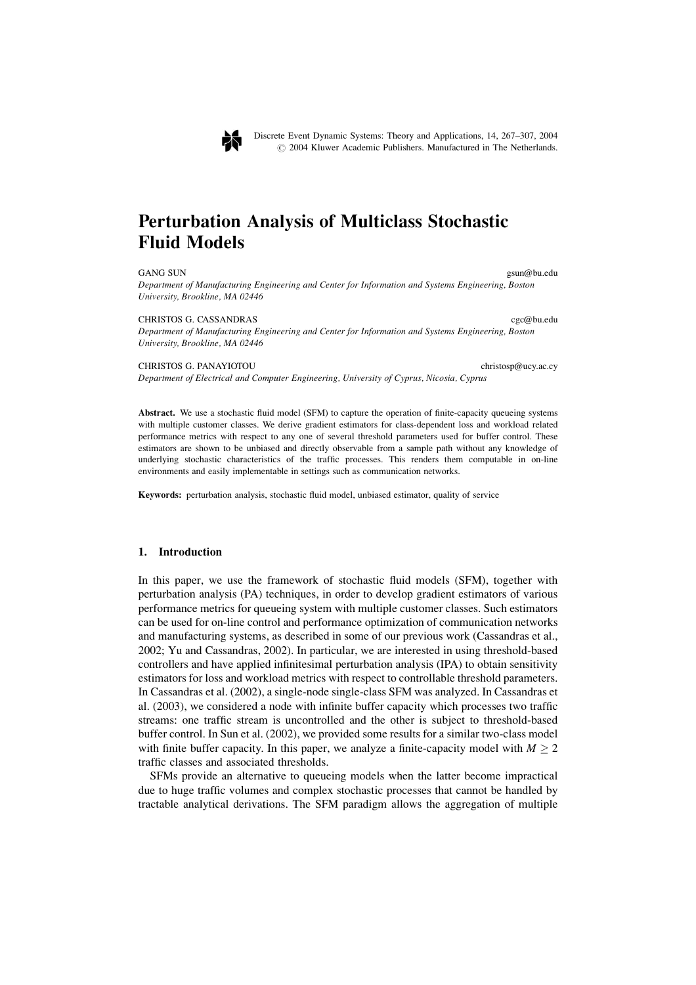

Discrete Event Dynamic Systems: Theory and Applications, 14, 267–307, 2004 © 2004 Kluwer Academic Publishers. Manufactured in The Netherlands.

# **Perturbation Analysis of Multiclass Stochastic Fluid Models**

**GANG SUN** gsun@bu.edu Department of Manufacturing Engineering and Center for Information and Systems Engineering, Boston University, Brookline, MA 02446

#### CHRISTOS G CASSANDRAS

Department of Manufacturing Engineering and Center for Information and Systems Engineering, Boston University, Brookline, MA 02446

#### CHRISTOS G. PANAYIOTOU

Department of Electrical and Computer Engineering, University of Cyprus, Nicosia, Cyprus

Abstract. We use a stochastic fluid model (SFM) to capture the operation of finite-capacity queueing systems with multiple customer classes. We derive gradient estimators for class-dependent loss and workload related performance metrics with respect to any one of several threshold parameters used for buffer control. These estimators are shown to be unbiased and directly observable from a sample path without any knowledge of underlying stochastic characteristics of the traffic processes. This renders them computable in on-line environments and easily implementable in settings such as communication networks.

Keywords: perturbation analysis, stochastic fluid model, unbiased estimator, quality of service

#### $1.$ **Introduction**

In this paper, we use the framework of stochastic fluid models (SFM), together with perturbation analysis (PA) techniques, in order to develop gradient estimators of various performance metrics for queueing system with multiple customer classes. Such estimators can be used for on-line control and performance optimization of communication networks and manufacturing systems, as described in some of our previous work (Cassandras et al., 2002; Yu and Cassandras, 2002). In particular, we are interested in using threshold-based controllers and have applied infinitesimal perturbation analysis (IPA) to obtain sensitivity estimators for loss and workload metrics with respect to controllable threshold parameters. In Cassandras et al. (2002), a single-node single-class SFM was analyzed. In Cassandras et al. (2003), we considered a node with infinite buffer capacity which processes two traffic streams: one traffic stream is uncontrolled and the other is subject to threshold-based buffer control. In Sun et al. (2002), we provided some results for a similar two-class model with finite buffer capacity. In this paper, we analyze a finite-capacity model with  $M \ge 2$ traffic classes and associated thresholds.

SFMs provide an alternative to queueing models when the latter become impractical due to huge traffic volumes and complex stochastic processes that cannot be handled by tractable analytical derivations. The SFM paradigm allows the aggregation of multiple

coc@bu.edu

christosp@ucy.ac.cy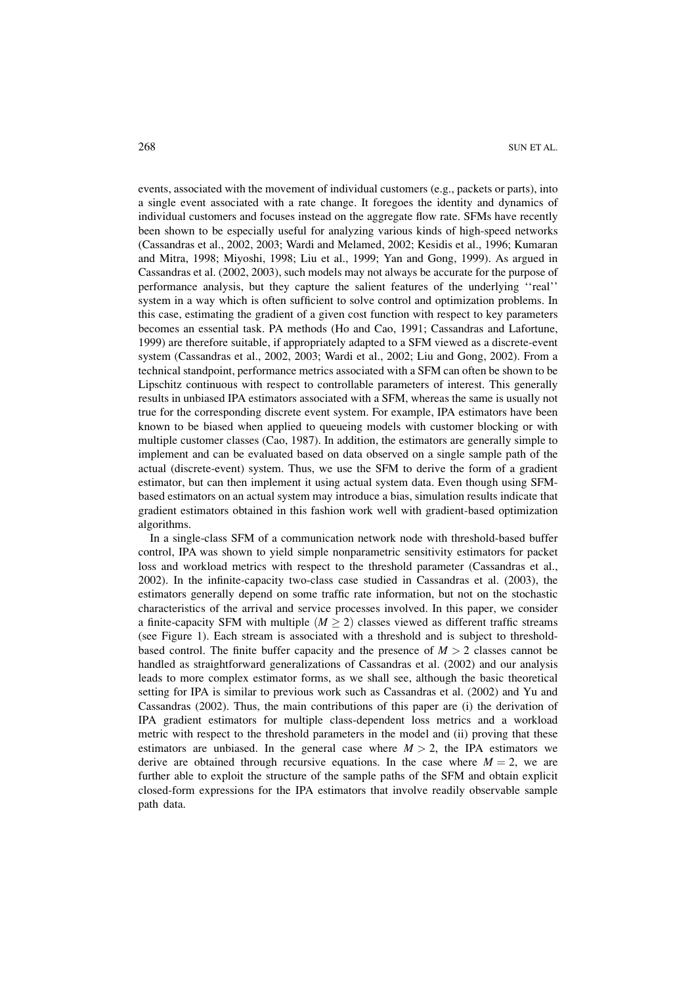events, associated with the movement of individual customers (e.g., packets or parts), into a single event associated with a rate change. It foregoes the identity and dynamics of individual customers and focuses instead on the aggregate flow rate. SFMs have recently been shown to be especially useful for analyzing various kinds of high-speed networks (Cassandras et al., 2002, 2003; Wardi and Melamed, 2002; Kesidis et al., 1996; Kumaran and Mitra, 1998; Miyoshi, 1998; Liu et al., 1999; Yan and Gong, 1999). As argued in Cassandras et al. (2002, 2003), such models may not always be accurate for the purpose of performance analysis, but they capture the salient features of the underlying "real" system in a way which is often sufficient to solve control and optimization problems. In this case, estimating the gradient of a given cost function with respect to key parameters becomes an essential task. PA methods (Ho and Cao, 1991; Cassandras and Lafortune, 1999) are therefore suitable, if appropriately adapted to a SFM viewed as a discrete-event system (Cassandras et al., 2002, 2003; Wardi et al., 2002; Liu and Gong, 2002). From a technical standpoint, performance metrics associated with a SFM can often be shown to be Lipschitz continuous with respect to controllable parameters of interest. This generally results in unbiased IPA estimators associated with a SFM, whereas the same is usually not true for the corresponding discrete event system. For example, IPA estimators have been known to be biased when applied to queueing models with customer blocking or with multiple customer classes (Cao, 1987). In addition, the estimators are generally simple to implement and can be evaluated based on data observed on a single sample path of the actual (discrete-event) system. Thus, we use the SFM to derive the form of a gradient estimator, but can then implement it using actual system data. Even though using SFMbased estimators on an actual system may introduce a bias, simulation results indicate that gradient estimators obtained in this fashion work well with gradient-based optimization algorithms.

In a single-class SFM of a communication network node with threshold-based buffer control, IPA was shown to yield simple nonparametric sensitivity estimators for packet loss and workload metrics with respect to the threshold parameter (Cassandras et al., 2002). In the infinite-capacity two-class case studied in Cassandras et al. (2003), the estimators generally depend on some traffic rate information, but not on the stochastic characteristics of the arrival and service processes involved. In this paper, we consider a finite-capacity SFM with multiple  $(M \ge 2)$  classes viewed as different traffic streams (see Figure 1). Each stream is associated with a threshold and is subject to thresholdbased control. The finite buffer capacity and the presence of  $M > 2$  classes cannot be handled as straightforward generalizations of Cassandras et al. (2002) and our analysis leads to more complex estimator forms, as we shall see, although the basic theoretical setting for IPA is similar to previous work such as Cassandras et al. (2002) and Yu and Cassandras (2002). Thus, the main contributions of this paper are (i) the derivation of IPA gradient estimators for multiple class-dependent loss metrics and a workload metric with respect to the threshold parameters in the model and (ii) proving that these estimators are unbiased. In the general case where  $M > 2$ , the IPA estimators we derive are obtained through recursive equations. In the case where  $M = 2$ , we are further able to exploit the structure of the sample paths of the SFM and obtain explicit closed-form expressions for the IPA estimators that involve readily observable sample path data.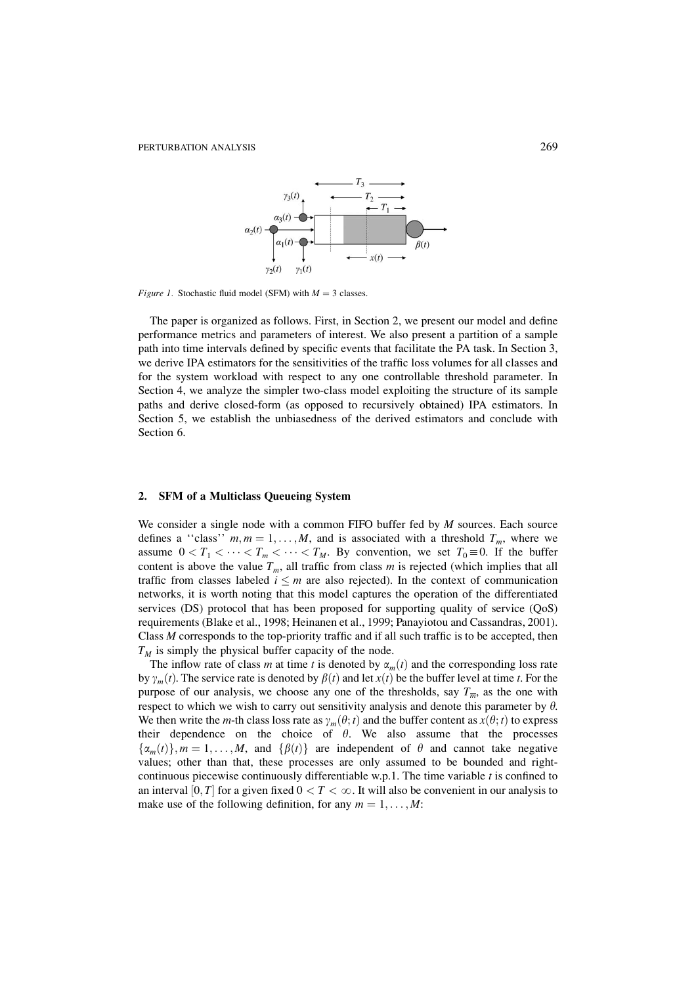

*Figure 1.* Stochastic fluid model (SFM) with  $M = 3$  classes.

The paper is organized as follows. First, in Section 2, we present our model and define performance metrics and parameters of interest. We also present a partition of a sample path into time intervals defined by specific events that facilitate the PA task. In Section 3, we derive IPA estimators for the sensitivities of the traffic loss volumes for all classes and for the system workload with respect to any one controllable threshold parameter. In Section 4, we analyze the simpler two-class model exploiting the structure of its sample paths and derive closed-form (as opposed to recursively obtained) IPA estimators. In Section 5, we establish the unbiasedness of the derived estimators and conclude with Section 6.

#### **SFM of a Multiclass Oueueing System**  $\mathcal{L}$

We consider a single node with a common FIFO buffer fed by  $M$  sources. Each source defines a "class"  $m, m = 1, ..., M$ , and is associated with a threshold  $T_m$ , where we assume  $0 < T_1 < \cdots < T_m < \cdots < T_M$ . By convention, we set  $T_0 \equiv 0$ . If the buffer content is above the value  $T_m$ , all traffic from class m is rejected (which implies that all traffic from classes labeled  $i \leq m$  are also rejected). In the context of communication networks, it is worth noting that this model captures the operation of the differentiated services (DS) protocol that has been proposed for supporting quality of service (QoS) requirements (Blake et al., 1998; Heinanen et al., 1999; Panayiotou and Cassandras, 2001). Class M corresponds to the top-priority traffic and if all such traffic is to be accepted, then  $T_M$  is simply the physical buffer capacity of the node.

The inflow rate of class m at time t is denoted by  $\alpha_m(t)$  and the corresponding loss rate by  $\gamma_m(t)$ . The service rate is denoted by  $\beta(t)$  and let  $x(t)$  be the buffer level at time t. For the purpose of our analysis, we choose any one of the thresholds, say  $T_{\overline{m}}$ , as the one with respect to which we wish to carry out sensitivity analysis and denote this parameter by  $\theta$ . We then write the *m*-th class loss rate as  $\gamma_m(\theta; t)$  and the buffer content as  $x(\theta; t)$  to express their dependence on the choice of  $\theta$ . We also assume that the processes  $\{\alpha_m(t)\}\$ ,  $m = 1, \ldots, M$ , and  $\{\beta(t)\}\$ are independent of  $\theta$  and cannot take negative values; other than that, these processes are only assumed to be bounded and rightcontinuous piecewise continuously differentiable  $w.p.1$ . The time variable  $t$  is confined to an interval [0, T] for a given fixed  $0 < T < \infty$ . It will also be convenient in our analysis to make use of the following definition, for any  $m = 1, \ldots, M$ :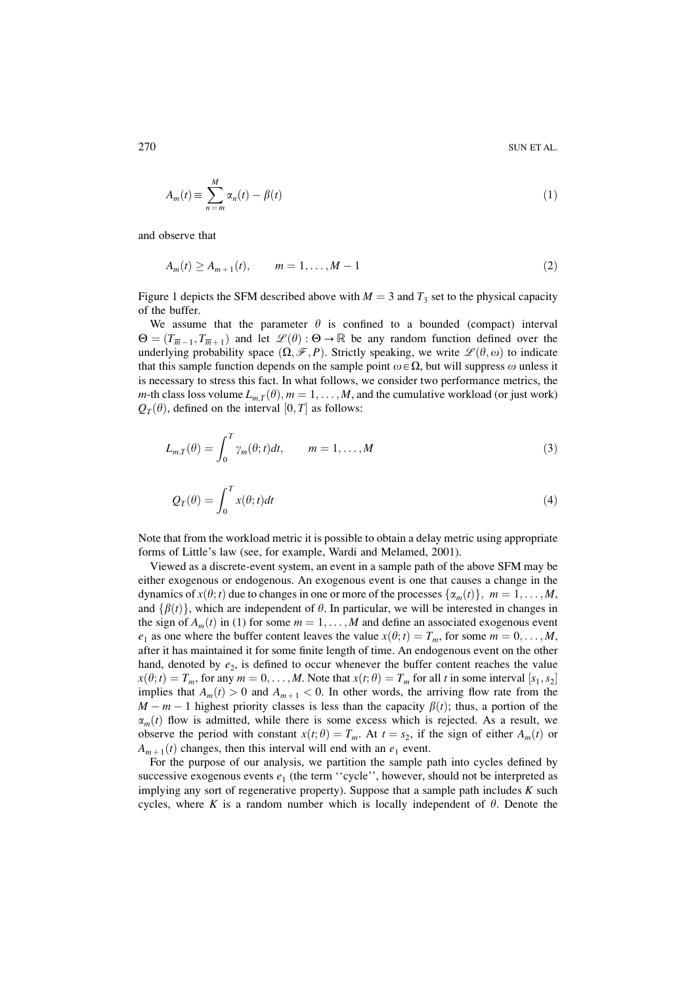$$
A_m(t) \equiv \sum_{n=m}^{M} \alpha_n(t) - \beta(t) \tag{1}
$$

and observe that

$$
A_m(t) \ge A_{m+1}(t), \qquad m = 1, \dots, M-1
$$
 (2)

Figure 1 depicts the SFM described above with  $M = 3$  and  $T_3$  set to the physical capacity of the buffer.

We assume that the parameter  $\theta$  is confined to a bounded (compact) interval  $\Theta = (T_{\overline{m}-1}, T_{\overline{m}+1})$  and let  $\mathscr{L}(\theta) : \Theta \to \mathbb{R}$  be any random function defined over the underlying probability space  $(\Omega, \mathcal{F}, P)$ . Strictly speaking, we write  $\mathcal{L}(\theta, \omega)$  to indicate that this sample function depends on the sample point  $\omega \in \Omega$ , but will suppress  $\omega$  unless it is necessary to stress this fact. In what follows, we consider two performance metrics, the *m*-th class loss volume  $L_{m,T}(\theta)$ ,  $m = 1, ..., M$ , and the cumulative workload (or just work)  $Q_T(\theta)$ , defined on the interval  $[0, T]$  as follows:

$$
L_{m,T}(\theta) = \int_0^T \gamma_m(\theta; t) dt, \qquad m = 1, \dots, M
$$
\n(3)

$$
Q_T(\theta) = \int_0^T x(\theta; t) dt
$$
\n(4)

Note that from the workload metric it is possible to obtain a delay metric using appropriate forms of Little's law (see, for example, Wardi and Melamed, 2001).

Viewed as a discrete-event system, an event in a sample path of the above SFM may be either exogenous or endogenous. An exogenous event is one that causes a change in the dynamics of  $x(\theta; t)$  due to changes in one or more of the processes  $\{\alpha_m(t)\}\$ ,  $m = 1, \ldots, M$ , and  $\{\beta(t)\}\$ , which are independent of  $\theta$ . In particular, we will be interested in changes in the sign of  $A_m(t)$  in (1) for some  $m = 1, ..., M$  and define an associated exogenous event  $e_1$  as one where the buffer content leaves the value  $x(\theta; t) = T_m$ , for some  $m = 0, ..., M$ , after it has maintained it for some finite length of time. An endogenous event on the other hand, denoted by  $e_2$ , is defined to occur whenever the buffer content reaches the value  $x(\theta; t) = T_m$ , for any  $m = 0, ..., M$ . Note that  $x(t; \theta) = T_m$  for all t in some interval  $[s_1, s_2]$ implies that  $A_m(t) > 0$  and  $A_{m+1} < 0$ . In other words, the arriving flow rate from the  $M - m - 1$  highest priority classes is less than the capacity  $\beta(t)$ ; thus, a portion of the  $\alpha_m(t)$  flow is admitted, while there is some excess which is rejected. As a result, we observe the period with constant  $x(t; \theta) = T_m$ . At  $t = s_2$ , if the sign of either  $A_m(t)$  or  $A_{m+1}(t)$  changes, then this interval will end with an  $e_1$  event.

For the purpose of our analysis, we partition the sample path into cycles defined by successive exogenous events  $e_1$  (the term "cycle", however, should not be interpreted as implying any sort of regenerative property). Suppose that a sample path includes  $K$  such cycles, where K is a random number which is locally independent of  $\theta$ . Denote the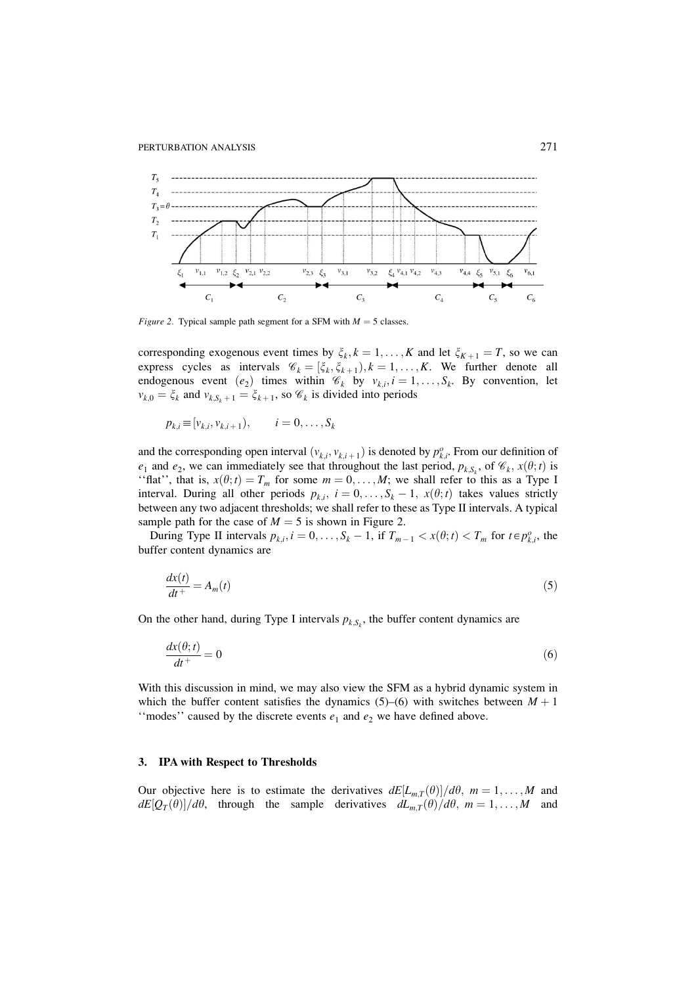

*Figure 2.* Typical sample path segment for a SFM with  $M = 5$  classes.

corresponding exogenous event times by  $\xi_k$ ,  $k = 1, ..., K$  and let  $\xi_{K+1} = T$ , so we can express cycles as intervals  $\mathcal{C}_k = [\xi_k, \xi_{k+1}), k = 1, ..., K$ . We further denote all endogenous event  $(e_2)$  times within  $\mathcal{C}_k$  by  $v_{k,i}, i = 1, ..., S_k$ . By convention, let  $v_{k,0} = \xi_k$  and  $v_{k, S_k+1} = \xi_{k+1}$ , so  $\mathscr{C}_k$  is divided into periods

$$
p_{k,i} \equiv [v_{k,i}, v_{k,i+1}), \qquad i = 0, \ldots, S_k
$$

and the corresponding open interval  $(v_{k,i}, v_{k,i+1})$  is denoted by  $p_{k,i}^o$ . From our definition of  $e_1$  and  $e_2$ , we can immediately see that throughout the last period,  $p_{k,S_k}$ , of  $\mathcal{C}_k$ ,  $x(\theta; t)$  is "flat", that is,  $x(\theta; t) = T_m$  for some  $m = 0, ..., M$ ; we shall refer to this as a Type I interval. During all other periods  $p_{k,i}$ ,  $i = 0, \ldots, S_k - 1, x(\theta; t)$  takes values strictly between any two adjacent thresholds; we shall refer to these as Type II intervals. A typical sample path for the case of  $M = 5$  is shown in Figure 2.

During Type II intervals  $p_{k,i}$ ,  $i = 0, \ldots, S_k - 1$ , if  $T_{m-1} < x(\theta; t) < T_m$  for  $t \in p_{k,i}^o$ , the buffer content dynamics are

$$
\frac{dx(t)}{dt^+} = A_m(t) \tag{5}
$$

On the other hand, during Type I intervals  $p_{k,S_k}$ , the buffer content dynamics are

$$
\frac{dx(\theta; t)}{dt^+} = 0\tag{6}
$$

With this discussion in mind, we may also view the SFM as a hybrid dynamic system in which the buffer content satisfies the dynamics (5)–(6) with switches between  $M + 1$ "modes" caused by the discrete events  $e_1$  and  $e_2$  we have defined above.

### 3. IPA with Respect to Thresholds

Our objective here is to estimate the derivatives  $dE[L_{m,T}(\theta)]/d\theta$ ,  $m=1,\ldots,M$  and  $dE[Q_T(\theta)]/d\theta$ , through the sample derivatives  $dL_{m,T}(\theta)/d\theta$ ,  $m=1,\ldots,M$  and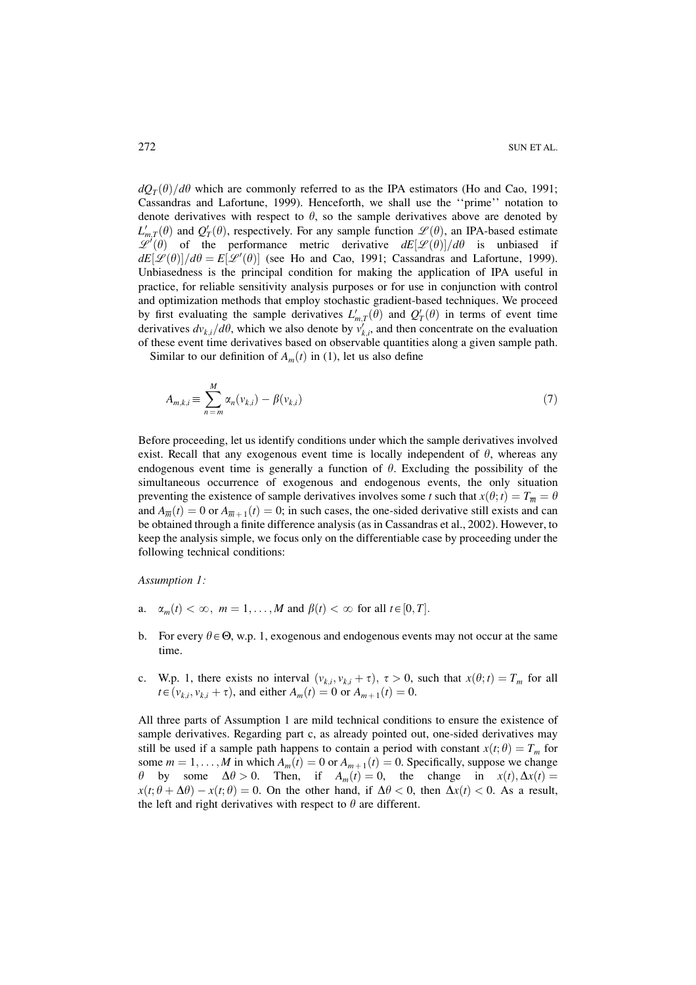$dQ_T(\theta)/d\theta$  which are commonly referred to as the IPA estimators (Ho and Cao, 1991; Cassandras and Lafortune, 1999). Henceforth, we shall use the "prime" notation to denote derivatives with respect to  $\theta$ , so the sample derivatives above are denoted by  $L'_{m,T}(\theta)$  and  $Q'_{T}(\theta)$ , respectively. For any sample function  $\mathscr{L}(\theta)$ , an IPA-based estimate  $\mathscr{L}'(\theta)$  of the performance metric derivative  $dE[\mathscr{L}(\theta)]/d\theta$  is unbiased if  $dE[\mathcal{L}(\theta)]/d\theta = E[\mathcal{L}'(\theta)]$  (see Ho and Cao, 1991; Cassandras and Lafortune, 1999). Unbiasedness is the principal condition for making the application of IPA useful in practice, for reliable sensitivity analysis purposes or for use in conjunction with control and optimization methods that employ stochastic gradient-based techniques. We proceed by first evaluating the sample derivatives  $L'_{m,T}(\theta)$  and  $Q'_T(\theta)$  in terms of event time derivatives  $dv_{k,i}/d\theta$ , which we also denote by  $v'_{k,i}$ , and then concentrate on the evaluation of these event time derivatives based on observable quantities along a given sample path.

Similar to our definition of  $A_m(t)$  in (1), let us also define

$$
A_{m,k,i} \equiv \sum_{n=m}^{M} \alpha_n(\nu_{k,i}) - \beta(\nu_{k,i})
$$
\n<sup>(7)</sup>

Before proceeding, let us identify conditions under which the sample derivatives involved exist. Recall that any exogenous event time is locally independent of  $\theta$ , whereas any endogenous event time is generally a function of  $\theta$ . Excluding the possibility of the simultaneous occurrence of exogenous and endogenous events, the only situation preventing the existence of sample derivatives involves some t such that  $x(\theta; t) = T_{\overline{n}} = \theta$ and  $A_{\overline{m}}(t) = 0$  or  $A_{\overline{m}+1}(t) = 0$ ; in such cases, the one-sided derivative still exists and can be obtained through a finite difference analysis (as in Cassandras et al., 2002). However, to keep the analysis simple, we focus only on the differentiable case by proceeding under the following technical conditions:

Assumption 1:

- a.  $\alpha_m(t) < \infty$ ,  $m = 1, ..., M$  and  $\beta(t) < \infty$  for all  $t \in [0, T]$ .
- b. For every  $\theta \in \Theta$ , w.p. 1, exogenous and endogenous events may not occur at the same time.
- c. W.p. 1, there exists no interval  $(v_{k,i}, v_{k,i} + \tau)$ ,  $\tau > 0$ , such that  $x(\theta; t) = T_m$  for all  $t \in (v_{k,i}, v_{k,i} + \tau)$ , and either  $A_m(t) = 0$  or  $A_{m+1}(t) = 0$ .

All three parts of Assumption 1 are mild technical conditions to ensure the existence of sample derivatives. Regarding part c, as already pointed out, one-sided derivatives may still be used if a sample path happens to contain a period with constant  $x(t; \theta) = T_m$  for some  $m = 1, ..., M$  in which  $A_m(t) = 0$  or  $A_{m+1}(t) = 0$ . Specifically, suppose we change  $\theta$  by some  $\Delta \theta > 0$ . Then, if  $A_m(t) = 0$ , the change in  $x(t), \Delta x(t) =$  $x(t; \theta + \Delta\theta) - x(t; \theta) = 0$ . On the other hand, if  $\Delta\theta < 0$ , then  $\Delta x(t) < 0$ . As a result, the left and right derivatives with respect to  $\theta$  are different.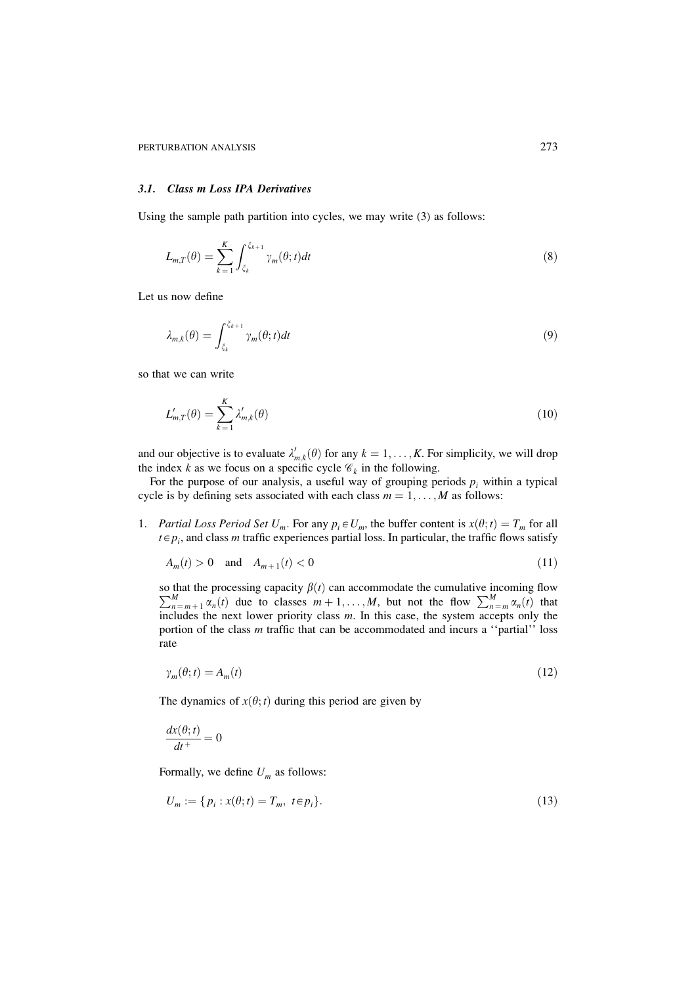#### 3.1. Class m Loss IPA Derivatives

Using the sample path partition into cycles, we may write  $(3)$  as follows:

$$
L_{m,T}(\theta) = \sum_{k=1}^{K} \int_{\xi_k}^{\xi_{k+1}} \gamma_m(\theta; t) dt
$$
\n(8)

Let us now define

$$
\lambda_{m,k}(\theta) = \int_{\xi_k}^{\xi_{k+1}} \gamma_m(\theta; t) dt \tag{9}
$$

so that we can write

$$
L'_{m,T}(\theta) = \sum_{k=1}^{K} \lambda'_{m,k}(\theta)
$$
\n(10)

and our objective is to evaluate  $\lambda'_{m,k}(\theta)$  for any  $k = 1, ..., K$ . For simplicity, we will drop the index k as we focus on a specific cycle  $\mathcal{C}_k$  in the following.

For the purpose of our analysis, a useful way of grouping periods  $p_i$  within a typical cycle is by defining sets associated with each class  $m = 1, ..., M$  as follows:

1. Partial Loss Period Set  $U_m$ . For any  $p_i \in U_m$ , the buffer content is  $x(\theta; t) = T_m$  for all  $t \in p_i$ , and class *m* traffic experiences partial loss. In particular, the traffic flows satisfy

$$
A_m(t) > 0 \quad \text{and} \quad A_{m+1}(t) < 0 \tag{11}
$$

so that the processing capacity  $\beta(t)$  can accommodate the cumulative incoming flow  $\sum_{n=m+1}^{M} \alpha_n(t)$  due to classes  $m+1, \ldots, M$ , but not the flow  $\sum_{n=m}^{M} \alpha_n(t)$  that includes the next lower priority class m. In this case, the system accepts only the portion of the class m traffic that can be accommodated and incurs a "partial" loss rate

$$
\gamma_m(\theta; t) = A_m(t) \tag{12}
$$

The dynamics of  $x(\theta; t)$  during this period are given by

$$
\frac{dx(\theta;t)}{dt^+} = 0
$$

Formally, we define  $U_m$  as follows:

$$
U_m := \{ p_i : x(\theta; t) = T_m, \ t \in p_i \}.
$$
\n(13)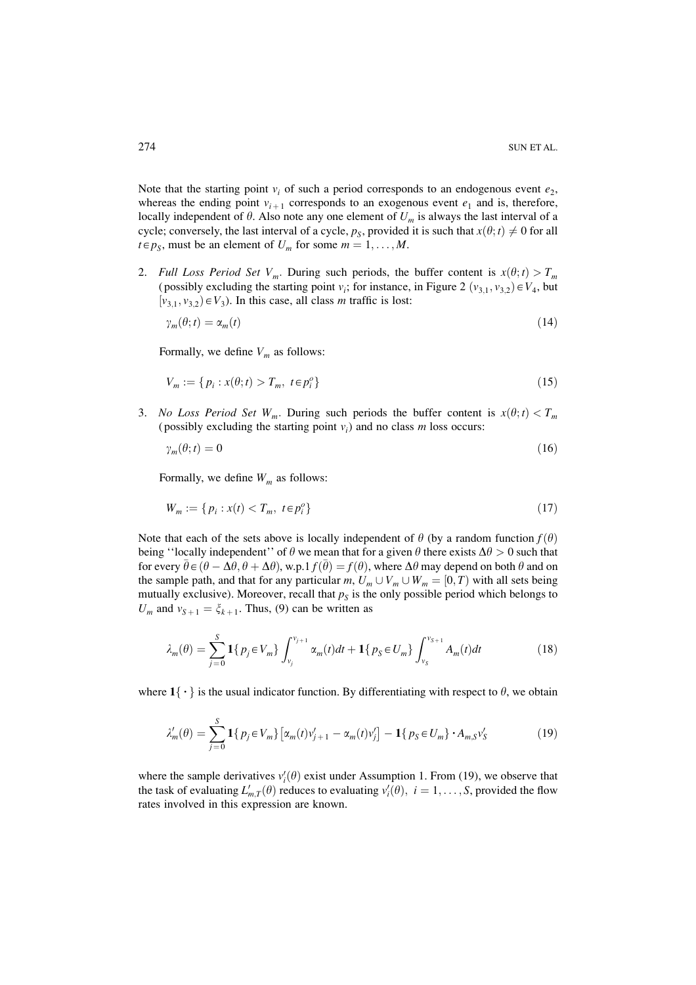Note that the starting point  $v_i$  of such a period corresponds to an endogenous event  $e_2$ , whereas the ending point  $v_{i+1}$  corresponds to an exogenous event  $e_1$  and is, therefore, locally independent of  $\theta$ . Also note any one element of  $U_m$  is always the last interval of a cycle; conversely, the last interval of a cycle,  $p_s$ , provided it is such that  $x(\theta; t) \neq 0$  for all  $t \in p_S$ , must be an element of  $U_m$  for some  $m = 1, ..., M$ .

2. Full Loss Period Set V<sub>m</sub>. During such periods, the buffer content is  $x(\theta; t) > T_m$ (possibly excluding the starting point  $v_i$ ; for instance, in Figure 2  $(v_{3,1}, v_{3,2}) \in V_4$ , but  $[v_{3,1}, v_{3,2}) \in V_3$ ). In this case, all class *m* traffic is lost:

$$
\gamma_m(\theta; t) = \alpha_m(t) \tag{14}
$$

Formally, we define  $V_m$  as follows:

$$
V_m := \{ p_i : x(\theta; t) > T_m, \ t \in p_i^o \} \tag{15}
$$

3. No Loss Period Set W<sub>m</sub>. During such periods the buffer content is  $x(\theta; t) < T_m$ (possibly excluding the starting point  $v_i$ ) and no class m loss occurs:

$$
\gamma_m(\theta; t) = 0 \tag{16}
$$

Formally, we define  $W_m$  as follows:

$$
W_m := \{ p_i : x(t) < T_m, \ t \in p_i^o \} \tag{17}
$$

Note that each of the sets above is locally independent of  $\theta$  (by a random function  $f(\theta)$ ) being "locally independent" of  $\theta$  we mean that for a given  $\theta$  there exists  $\Delta\theta > 0$  such that for every  $\bar{\theta} \in (\theta - \Delta \theta, \theta + \Delta \theta)$ , w.p.1  $f(\bar{\theta}) = f(\theta)$ , where  $\Delta \theta$  may depend on both  $\theta$  and on the sample path, and that for any particular m,  $U_m \cup V_m \cup W_m = [0, T)$  with all sets being mutually exclusive). Moreover, recall that  $p_s$  is the only possible period which belongs to  $U_m$  and  $v_{S+1} = \xi_{k+1}$ . Thus, (9) can be written as

$$
\lambda_m(\theta) = \sum_{j=0}^{S} \mathbf{1} \{ p_j \in V_m \} \int_{v_j}^{v_{j+1}} \alpha_m(t) dt + \mathbf{1} \{ p_S \in U_m \} \int_{v_S}^{v_{S+1}} A_m(t) dt \tag{18}
$$

where  $1\{\cdot\}$  is the usual indicator function. By differentiating with respect to  $\theta$ , we obtain

$$
\lambda'_{m}(\theta) = \sum_{j=0}^{S} \mathbf{1} \{ p_{j} \in V_{m} \} \left[ \alpha_{m}(t) v'_{j+1} - \alpha_{m}(t) v'_{j} \right] - \mathbf{1} \{ p_{S} \in U_{m} \} \cdot A_{m,S} v'_{S}
$$
(19)

where the sample derivatives  $v_i'(\theta)$  exist under Assumption 1. From (19), we observe that the task of evaluating  $L'_{m,T}(\theta)$  reduces to evaluating  $v'_{i}(\theta)$ ,  $i = 1,..., S$ , provided the flow rates involved in this expression are known.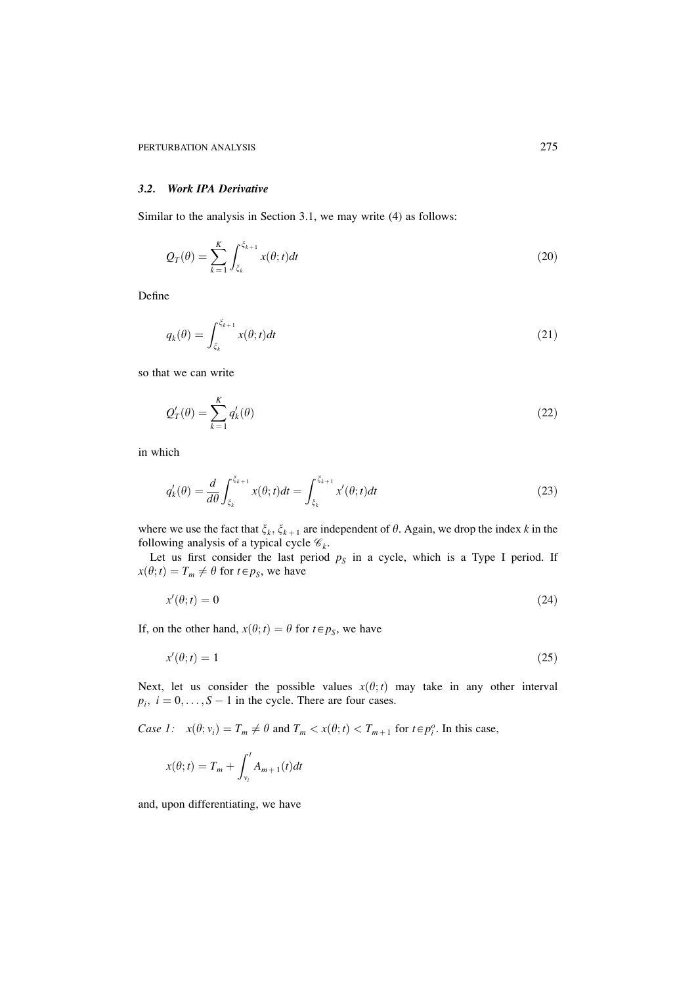## 3.2. Work IPA Derivative

Similar to the analysis in Section 3.1, we may write (4) as follows:

$$
Q_T(\theta) = \sum_{k=1}^K \int_{\xi_k}^{\xi_{k+1}} x(\theta; t) dt
$$
\n(20)

Define

$$
q_k(\theta) = \int_{\xi_k}^{\xi_{k+1}} x(\theta; t) dt
$$
\n(21)

so that we can write

$$
Q_T'(\theta) = \sum_{k=1}^K q_k'(\theta) \tag{22}
$$

in which

$$
q'_k(\theta) = \frac{d}{d\theta} \int_{\xi_k}^{\xi_{k+1}} x(\theta; t) dt = \int_{\xi_k}^{\xi_{k+1}} x'(\theta; t) dt
$$
\n(23)

where we use the fact that  $\xi_k$ ,  $\xi_{k+1}$  are independent of  $\theta$ . Again, we drop the index k in the following analysis of a typical cycle  $\mathcal{C}_k$ .<br>Let us first consider the last period  $p_s$  in a cycle, which is a Type I period. If

 $x(\theta; t) = T_m \neq \theta$  for  $t \in p_S$ , we have

$$
x'(\theta; t) = 0 \tag{24}
$$

If, on the other hand,  $x(\theta; t) = \theta$  for  $t \in p_S$ , we have

$$
x'(\theta; t) = 1\tag{25}
$$

Next, let us consider the possible values  $x(\theta; t)$  may take in any other interval  $p_i$ ,  $i = 0, \ldots, S - 1$  in the cycle. There are four cases.

Case 1:  $x(\theta; v_i) = T_m \neq \theta$  and  $T_m < x(\theta; t) < T_{m+1}$  for  $t \in p_i^o$ . In this case,

$$
x(\theta; t) = T_m + \int_{v_i}^t A_{m+1}(t)dt
$$

and, upon differentiating, we have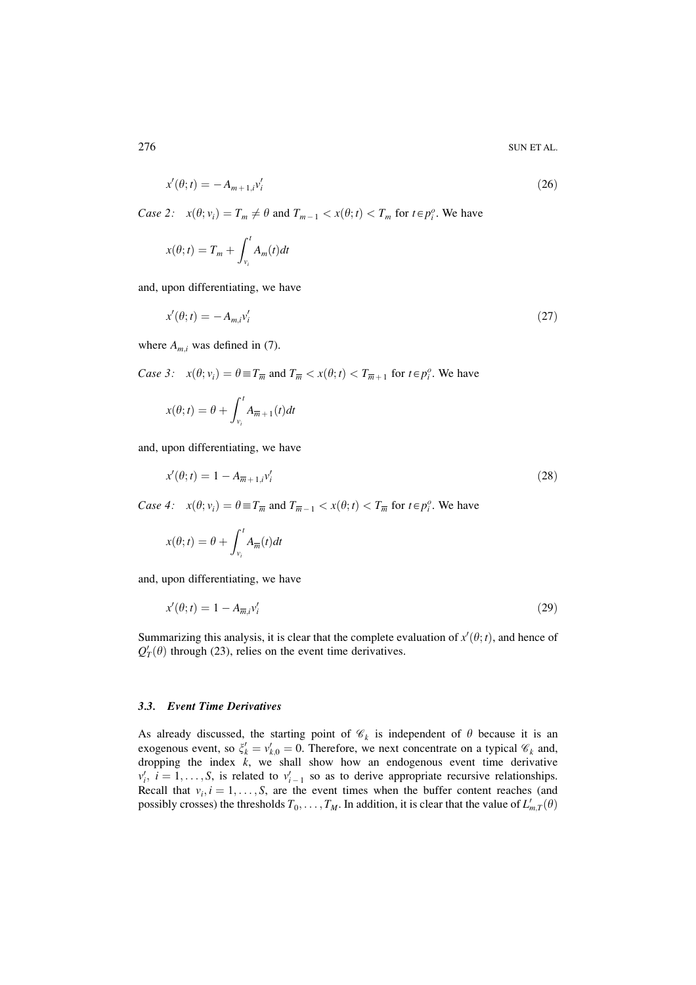$$
x'(\theta; t) = -A_{m+1,i}v'_i
$$
\n(26)

Case 2:  $x(\theta; v_i) = T_m \neq \theta$  and  $T_{m-1} < x(\theta; t) < T_m$  for  $t \in p_i^o$ . We have

$$
x(\theta; t) = T_m + \int_{v_i}^t A_m(t)dt
$$

and, upon differentiating, we have

$$
x'(\theta; t) = -A_{mi}v_i'
$$
\n<sup>(27)</sup>

where  $A_{m,i}$  was defined in (7).

*Case 3:*  $x(\theta; v_i) = \theta \equiv T_{\overline{m}}$  and  $T_{\overline{m}} < x(\theta; t) < T_{\overline{m}+1}$  for  $t \in p_i^o$ . We have

$$
x(\theta; t) = \theta + \int_{v_i}^{t} A_{\overline{m}+1}(t) dt
$$

and, upon differentiating, we have

$$
x'(\theta; t) = 1 - A_{\overline{m} + 1, i} v'_i \tag{28}
$$

*Case 4:*  $x(\theta; v_i) = \theta \equiv T_{\overline{m}}$  and  $T_{\overline{m}-1} < x(\theta; t) < T_{\overline{m}}$  for  $t \in p_i^o$ . We have

$$
x(\theta; t) = \theta + \int_{v_i}^{t} A_{\overline{m}}(t) dt
$$

and, upon differentiating, we have

$$
x'(\theta; t) = 1 - A_{\overline{m}} v'_i \tag{29}
$$

Summarizing this analysis, it is clear that the complete evaluation of  $x'(\theta; t)$ , and hence of  $Q'_T(\theta)$  through (23), relies on the event time derivatives.

#### 3.3. Event Time Derivatives

As already discussed, the starting point of  $\mathcal{C}_k$  is independent of  $\theta$  because it is an exogenous event, so  $\xi'_k = v'_{k,0} = 0$ . Therefore, we next concentrate on a typical  $\mathcal{C}_k$  and, dropping the index  $k$ , we shall show how an endogenous event time derivative  $v'_i$ ,  $i = 1, ..., S$ , is related to  $v'_{i-1}$  so as to derive appropriate recursive relationships. Recall that  $v_i$ ,  $i = 1, ..., S$ , are the event times when the buffer content reaches (and possibly crosses) the thresholds  $T_0, \ldots, T_M$ . In addition, it is clear that the value of  $L'_{m,T}(\theta)$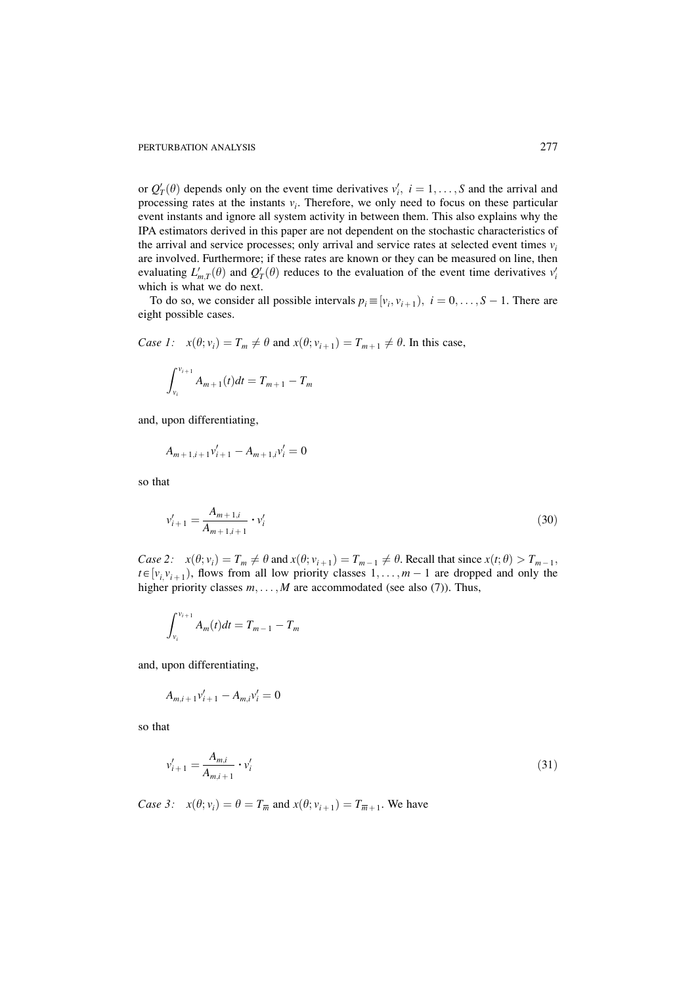or  $Q'_T(\theta)$  depends only on the event time derivatives  $v'_i$ ,  $i = 1, ..., S$  and the arrival and processing rates at the instants  $v_i$ . Therefore, we only need to focus on these particular event instants and ignore all system activity in between them. This also explains why the IPA estimators derived in this paper are not dependent on the stochastic characteristics of the arrival and service processes; only arrival and service rates at selected event times  $v_i$ are involved. Furthermore; if these rates are known or they can be measured on line, then evaluating  $L'_{m,T}(\theta)$  and  $Q'_T(\theta)$  reduces to the evaluation of the event time derivatives  $v'_i$ which is what we do next.

To do so, we consider all possible intervals  $p_i \equiv [v_i, v_{i+1}), i = 0, \ldots, S-1$ . There are eight possible cases.

Case 1: 
$$
x(\theta; v_i) = T_m \neq \theta
$$
 and  $x(\theta; v_{i+1}) = T_{m+1} \neq \theta$ . In this case,

$$
\int_{v_i}^{v_{i+1}} A_{m+1}(t) dt = T_{m+1} - T_m
$$

and, upon differentiating,

$$
A_{m+1,i+1}v'_{i+1} - A_{m+1,i}v'_{i} = 0
$$

so that

$$
v'_{i+1} = \frac{A_{m+1,i}}{A_{m+1,i+1}} \cdot v'_i \tag{30}
$$

Case 2:  $x(\theta; v_i) = T_m \neq \theta$  and  $x(\theta; v_{i+1}) = T_{m-1} \neq \theta$ . Recall that since  $x(t; \theta) > T_{m-1}$ ,  $t \in [v_i, v_{i+1})$ , flows from all low priority classes  $1, \ldots, m-1$  are dropped and only the higher priority classes  $m, \ldots, M$  are accommodated (see also (7)). Thus,

$$
\int_{v_i}^{v_{i+1}} A_m(t) dt = T_{m-1} - T_m
$$

and, upon differentiating,

$$
A_{m,i+1}v'_{i+1} - A_{m,i}v'_{i} = 0
$$

so that

$$
v'_{i+1} = \frac{A_{m,i}}{A_{m,i+1}} \cdot v'_i \tag{31}
$$

Case 3:  $x(\theta; v_i) = \theta = T_{\overline{m}}$  and  $x(\theta; v_{i+1}) = T_{\overline{m}+1}$ . We have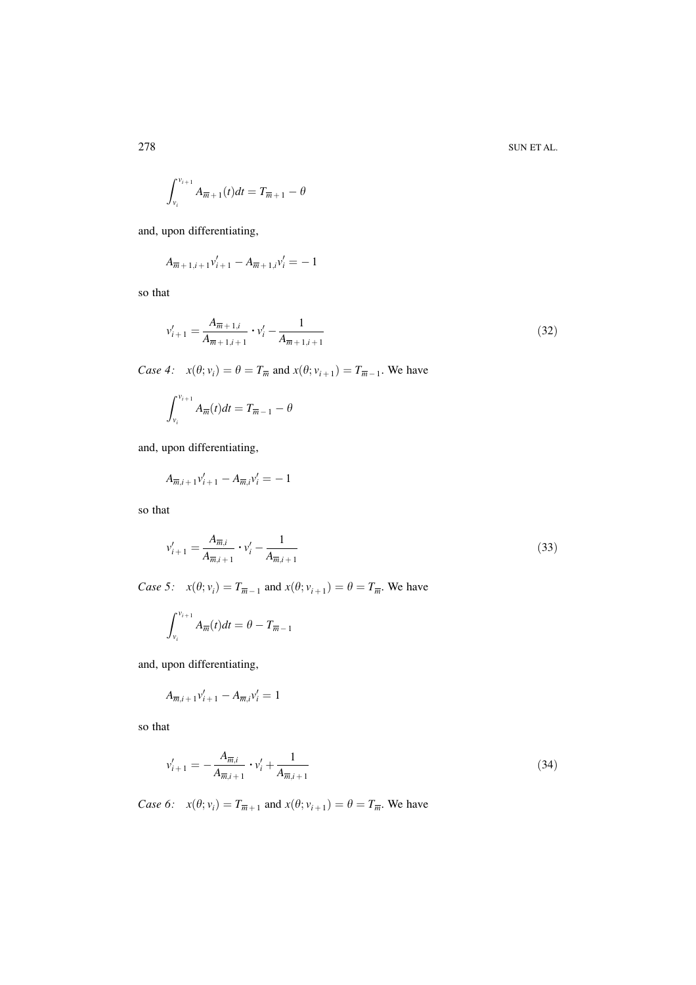$$
\int_{v_i}^{v_{i+1}} A_{\overline{m}+1}(t)dt = T_{\overline{m}+1} - \theta
$$

and, upon differentiating,

$$
A_{\overline{m}+1,i+1}v'_{i+1}-A_{\overline{m}+1,i}v'_{i}=-1
$$

so that

$$
v'_{i+1} = \frac{A_{\overline{m}+1,i}}{A_{\overline{m}+1,i+1}} \cdot v'_{i} - \frac{1}{A_{\overline{m}+1,i+1}}
$$
(32)

Case 4:  $x(\theta; v_i) = \theta = T_{\overline{m}}$  and  $x(\theta; v_{i+1}) = T_{\overline{m}-1}$ . We have

$$
\int_{\nu_i}^{\nu_{i+1}} A_{\overline{m}}(t) dt = T_{\overline{m}-1} - \theta
$$

and, upon differentiating,

$$
A_{\overline{m},i+1}v'_{i+1} - A_{\overline{m},i}v'_{i} = -1
$$

so that

$$
v'_{i+1} = \frac{A_{\overline{m},i}}{A_{\overline{m},i+1}} \cdot v'_i - \frac{1}{A_{\overline{m},i+1}}
$$
(33)

Case 5:  $x(\theta; v_i) = T_{\overline{m}-1}$  and  $x(\theta; v_{i+1}) = \theta = T_{\overline{m}}$ . We have

$$
\int_{v_i}^{v_{i+1}} A_{\overline{m}}(t) dt = \theta - T_{\overline{m}-1}
$$

and, upon differentiating,

$$
A_{\overline{m},i+1}v'_{i+1} - A_{\overline{m},i}v'_{i} = 1
$$

so that

$$
v'_{i+1} = -\frac{A_{\overline{m},i}}{A_{\overline{m},i+1}} \cdot v'_i + \frac{1}{A_{\overline{m},i+1}}
$$
(34)

Case 6:  $x(\theta; v_i) = T_{\overline{m}+1}$  and  $x(\theta; v_{i+1}) = \theta = T_{\overline{m}}$ . We have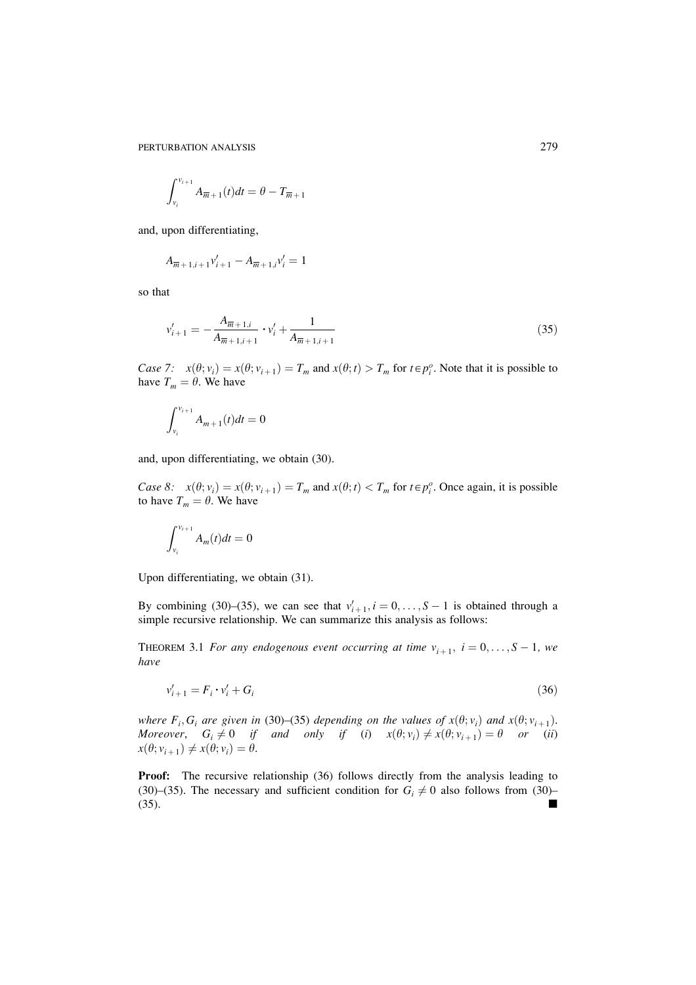PERTURBATION ANALYSIS

$$
\int_{v_i}^{v_{i+1}} A_{\overline{m}+1}(t)dt = \theta - T_{\overline{m}+1}
$$

and, upon differentiating,

$$
A_{\overline{m}+1,i+1}v'_{i+1} - A_{\overline{m}+1,i}v'_{i} = 1
$$

so that

$$
v'_{i+1} = -\frac{A_{\overline{m}+1,i}}{A_{\overline{m}+1,i+1}} \cdot v'_{i} + \frac{1}{A_{\overline{m}+1,i+1}}
$$
(35)

Case 7:  $x(\theta; v_i) = x(\theta; v_{i+1}) = T_m$  and  $x(\theta; t) > T_m$  for  $t \in p_i^o$ . Note that it is possible to have  $T_m = \theta$ . We have

$$
\int_{v_i}^{v_{i+1}} A_{m+1}(t)dt = 0
$$

and, upon differentiating, we obtain (30).

Case 8:  $x(\theta; v_i) = x(\theta; v_{i+1}) = T_m$  and  $x(\theta; t) < T_m$  for  $t \in p_i^o$ . Once again, it is possible to have  $T_m = \theta$ . We have

$$
\int_{v_i}^{v_{i+1}} A_m(t) dt = 0
$$

Upon differentiating, we obtain (31).

By combining (30)–(35), we can see that  $v'_{i+1}$ ,  $i = 0, \ldots, S-1$  is obtained through a simple recursive relationship. We can summarize this analysis as follows:

THEOREM 3.1 For any endogenous event occurring at time  $v_{i+1}$ ,  $i = 0, \ldots, S-1$ , we have

$$
v'_{i+1} = F_i \cdot v'_i + G_i \tag{36}
$$

where  $F_i$ ,  $G_i$  are given in (30)–(35) depending on the values of  $x(\theta; v_i)$  and  $x(\theta; v_{i+1})$ .<br>Moreover,  $G_i \neq 0$  if and only if (i)  $x(\theta; v_i) \neq x(\theta; v_{i+1}) = \theta$  or (ii)  $x(\theta; v_{i+1}) \neq x(\theta; v_i) = \theta.$ 

**Proof:** The recursive relationship (36) follows directly from the analysis leading to (30)–(35). The necessary and sufficient condition for  $G_i \neq 0$  also follows from (30)–  $(35).$  $\blacksquare$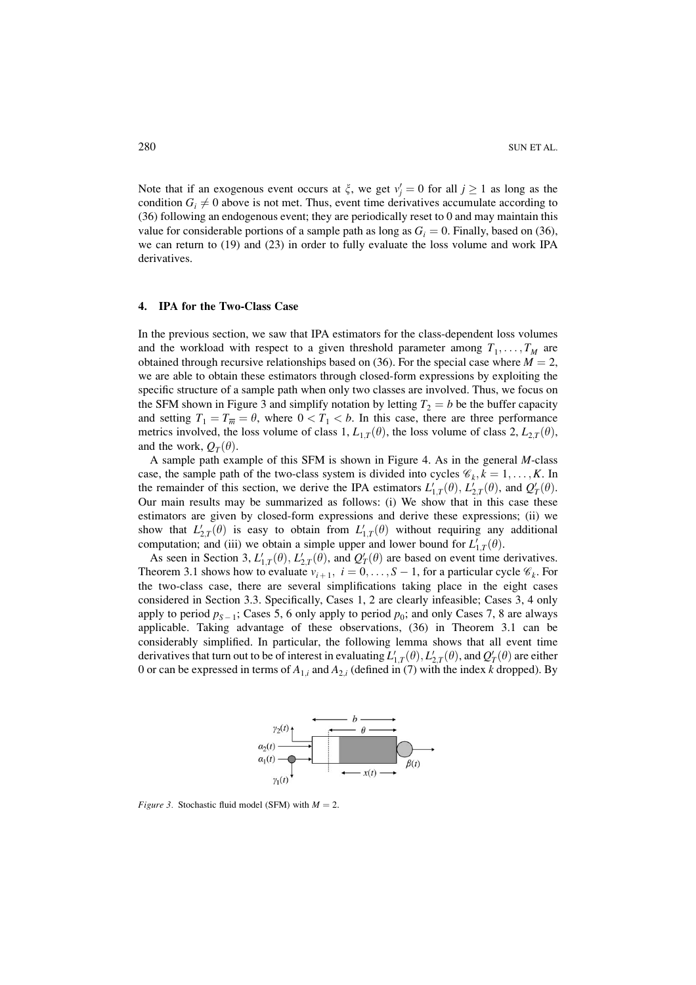Note that if an exogenous event occurs at  $\xi$ , we get  $v'_i = 0$  for all  $j \ge 1$  as long as the condition  $G_i \neq 0$  above is not met. Thus, event time derivatives accumulate according to (36) following an endogenous event; they are periodically reset to 0 and may maintain this value for considerable portions of a sample path as long as  $G_i = 0$ . Finally, based on (36), we can return to (19) and (23) in order to fully evaluate the loss volume and work IPA derivatives.

#### $\overline{4}$ . **IPA for the Two-Class Case**

In the previous section, we saw that IPA estimators for the class-dependent loss volumes and the workload with respect to a given threshold parameter among  $T_1, \ldots, T_M$  are obtained through recursive relationships based on (36). For the special case where  $M = 2$ , we are able to obtain these estimators through closed-form expressions by exploiting the specific structure of a sample path when only two classes are involved. Thus, we focus on the SFM shown in Figure 3 and simplify notation by letting  $T_2 = b$  be the buffer capacity and setting  $T_1 = T_{\overline{m}} = \theta$ , where  $0 < T_1 < b$ . In this case, there are three performance metrics involved, the loss volume of class 1,  $L_{1,T}(\theta)$ , the loss volume of class 2,  $L_{2,T}(\theta)$ , and the work,  $O_T(\theta)$ .

A sample path example of this SFM is shown in Figure 4. As in the general M-class case, the sample path of the two-class system is divided into cycles  $\mathscr{C}_k$ ,  $k = 1, \ldots, K$ . In the remainder of this section, we derive the IPA estimators  $L'_{1,T}(\theta)$ ,  $L'_{2,T}(\theta)$ , and  $Q'_{T}(\theta)$ . Our main results may be summarized as follows: (i) We show that in this case these estimators are given by closed-form expressions and derive these expressions; (ii) we show that  $L'_{2T}(\theta)$  is easy to obtain from  $L'_{1T}(\theta)$  without requiring any additional computation; and (iii) we obtain a simple upper and lower bound for  $L'_{1T}(\theta)$ .

As seen in Section 3,  $L'_{1,T}(\theta)$ ,  $L'_{2,T}(\theta)$ , and  $Q'_{T}(\theta)$  are based on event time derivatives. Theorem 3.1 shows how to evaluate  $v_{i+1}$ ,  $i = 0, \ldots, S-1$ , for a particular cycle  $\mathcal{C}_k$ . For the two-class case, there are several simplifications taking place in the eight cases considered in Section 3.3. Specifically, Cases 1, 2 are clearly infeasible; Cases 3, 4 only apply to period  $p_{S-1}$ ; Cases 5, 6 only apply to period  $p_0$ ; and only Cases 7, 8 are always applicable. Taking advantage of these observations, (36) in Theorem 3.1 can be considerably simplified. In particular, the following lemma shows that all event time derivatives that turn out to be of interest in evaluating  $L'_{1,T}(\theta)$ ,  $L'_{2,T}(\theta)$ , and  $Q'_T(\theta)$  are either 0 or can be expressed in terms of  $A_{1,i}$  and  $A_{2,i}$  (defined in (7) with the index k dropped). By



*Figure 3.* Stochastic fluid model (SFM) with  $M = 2$ .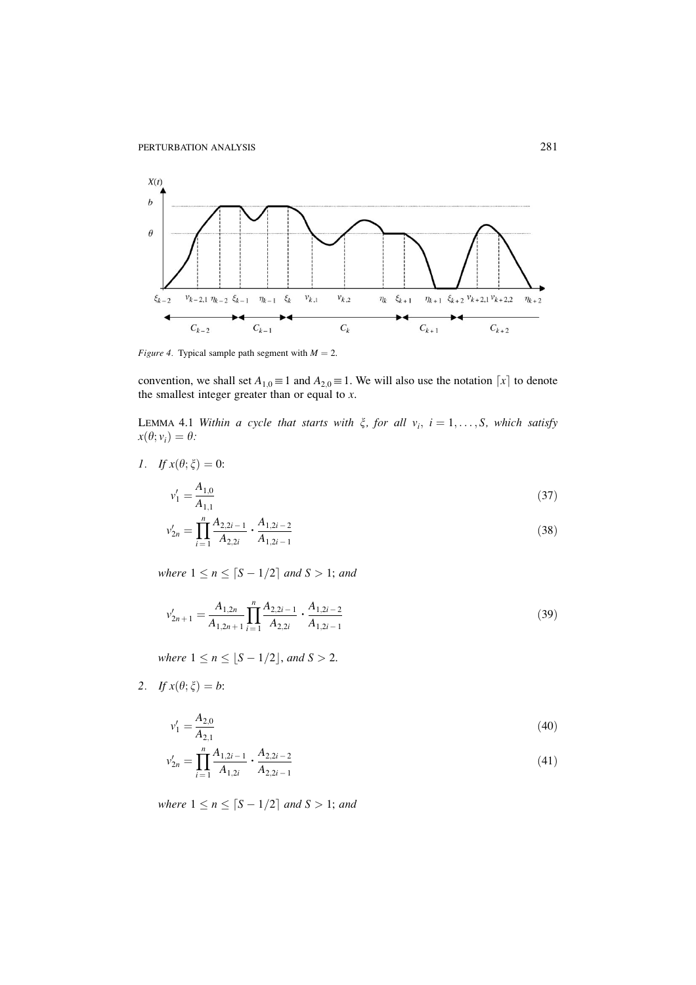

*Figure 4.* Typical sample path segment with  $M = 2$ .

convention, we shall set  $A_{1,0} \equiv 1$  and  $A_{2,0} \equiv 1$ . We will also use the notation  $\lceil x \rceil$  to denote the smallest integer greater than or equal to  $x$ .

LEMMA 4.1 Within a cycle that starts with  $\xi$ , for all  $v_i$ ,  $i = 1, ..., S$ , which satisfy  $x(\theta; v_i) = \theta$ :

*I*. If  $x(\theta; \xi) = 0$ :

$$
v_1' = \frac{A_{1,0}}{A_{1,1}}\tag{37}
$$

$$
\nu'_{2n} = \prod_{i=1}^{n} \frac{A_{2,2i-1}}{A_{2,2i}} \cdot \frac{A_{1,2i-2}}{A_{1,2i-1}} \tag{38}
$$

where  $1 \le n \le \lceil S - 1/2 \rceil$  and  $S > 1$ ; and

$$
v'_{2n+1} = \frac{A_{1,2n}}{A_{1,2n+1}} \prod_{i=1}^{n} \frac{A_{2,2i-1}}{A_{2,2i}} \cdot \frac{A_{1,2i-2}}{A_{1,2i-1}}
$$
(39)

where  $1 \le n \le [S - 1/2]$ , and  $S > 2$ .

2. If  $x(\theta; \xi) = b$ :

$$
v'_{1} = \frac{A_{2,0}}{A_{2,1}}
$$
  
\n
$$
v'_{2n} = \prod_{i=1}^{n} \frac{A_{1,2i-1}}{A_{1,2i}} \cdot \frac{A_{2,2i-2}}{A_{2,2i-1}}
$$
\n(41)

where  $1 \le n \le \lceil S - 1/2 \rceil$  and  $S > 1$ ; and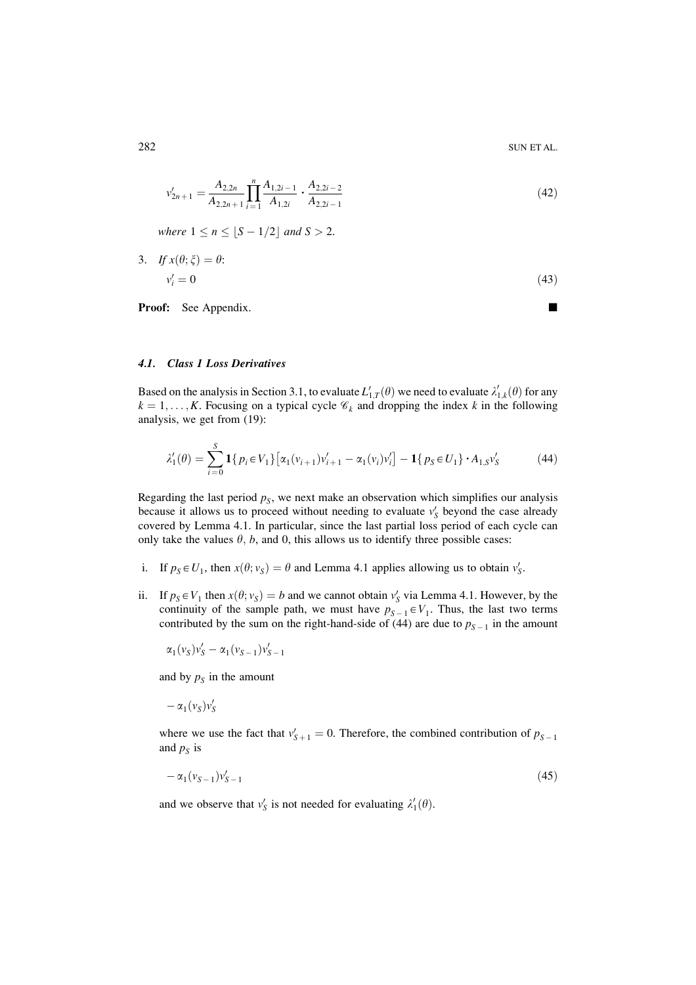$$
v'_{2n+1} = \frac{A_{2,2n}}{A_{2,2n+1}} \prod_{i=1}^{n} \frac{A_{1,2i-1}}{A_{1,2i}} \cdot \frac{A_{2,2i-2}}{A_{2,2i-1}}
$$
(42)

where  $1 \le n \le \lfloor S - 1/2 \rfloor$  and  $S > 2$ .

3. 
$$
If x(\theta; \xi) = \theta:
$$
  
\n
$$
v_i' = 0
$$
\n(43)

**Proof:** See Appendix.

п

### 4.1. Class 1 Loss Derivatives

Based on the analysis in Section 3.1, to evaluate  $L'_{1T}(\theta)$  we need to evaluate  $\lambda'_{1,k}(\theta)$  for any  $k = 1, \ldots, K$ . Focusing on a typical cycle  $\mathcal{C}_k$  and dropping the index k in the following analysis, we get from (19):

$$
\lambda_1'(\theta) = \sum_{i=0}^S \mathbf{1} \{ p_i \in V_1 \} \left[ \alpha_1(v_{i+1}) v_{i+1}' - \alpha_1(v_i) v_i' \right] - \mathbf{1} \{ p_S \in U_1 \} \cdot A_{1,S} v_S' \tag{44}
$$

Regarding the last period  $p_s$ , we next make an observation which simplifies our analysis because it allows us to proceed without needing to evaluate  $v'_{S}$  beyond the case already covered by Lemma 4.1. In particular, since the last partial loss period of each cycle can only take the values  $\theta$ , b, and 0, this allows us to identify three possible cases:

- i. If  $p_S \in U_1$ , then  $x(\theta; v_S) = \theta$  and Lemma 4.1 applies allowing us to obtain  $v'_S$ .
- ii. If  $p_S \in V_1$  then  $x(\theta; v_S) = b$  and we cannot obtain  $v'_S$  via Lemma 4.1. However, by the continuity of the sample path, we must have  $p_{S-1} \in V_1$ . Thus, the last two terms contributed by the sum on the right-hand-side of (44) are due to  $p_{S-1}$  in the amount

$$
\alpha_1(v_S)v_S' - \alpha_1(v_{S-1})v_{S-1}'
$$

and by  $p_s$  in the amount

 $-\alpha_1(v_s)v'_s$ 

where we use the fact that  $v'_{S+1} = 0$ . Therefore, the combined contribution of  $p_{S-1}$ and  $p<sub>S</sub>$  is

$$
-\alpha_1(v_{S-1})v'_{S-1} \tag{45}
$$

and we observe that  $v'_{S}$  is not needed for evaluating  $\lambda'_{1}(\theta)$ .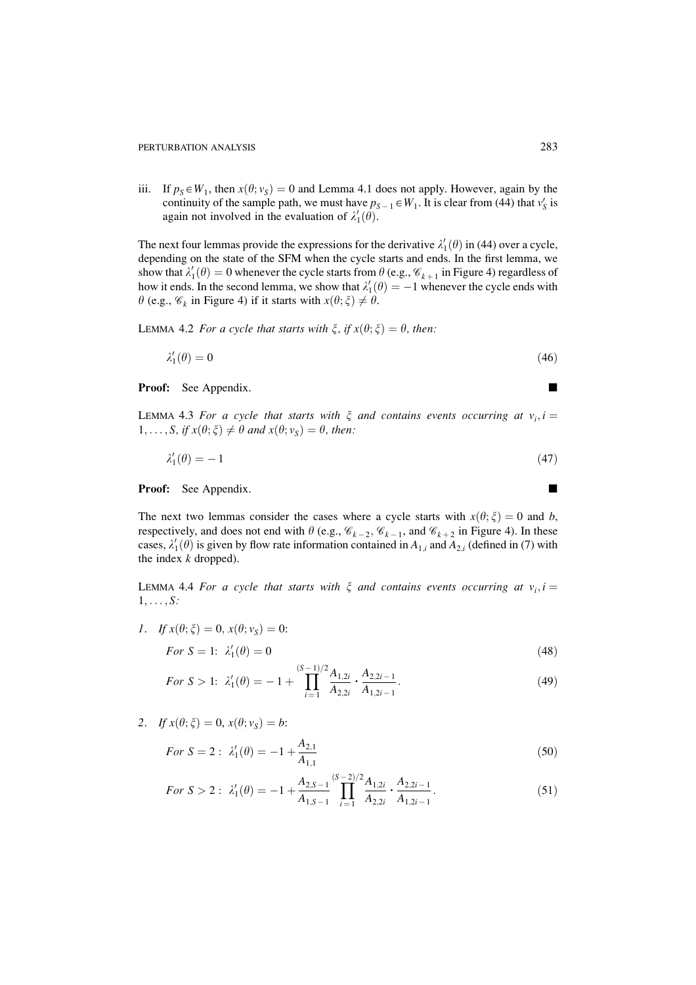iii. If  $p_s \in W_1$ , then  $x(\theta; v_s) = 0$  and Lemma 4.1 does not apply. However, again by the continuity of the sample path, we must have  $p_{S-1} \in W_1$ . It is clear from (44) that  $v_S$  is again not involved in the evaluation of  $\lambda'_1(\theta)$ .

The next four lemmas provide the expressions for the derivative  $\lambda'_1(\theta)$  in (44) over a cycle, depending on the state of the SFM when the cycle starts and ends. In the first lemma, we show that  $\lambda'_1(\theta) = 0$  whenever the cycle starts from  $\theta$  (e.g.,  $\mathscr{C}_{k+1}$  in Figure 4) regardless of how it ends. In the second lemma, we show that  $\lambda'_1(\theta) = -1$  whenever the cycle ends with  $\theta$  (e.g.,  $\mathscr{C}_k$  in Figure 4) if it starts with  $x(\theta; \xi) \neq \theta$ .

LEMMA 4.2 For a cycle that starts with  $\xi$ , if  $x(\theta; \xi) = \theta$ , then:

$$
\lambda_1'(\theta) = 0 \tag{46}
$$

### **Proof:** See Appendix.

LEMMA 4.3 For a cycle that starts with  $\xi$  and contains events occurring at  $v_i$ ,  $i =$  $1, \ldots, S$ , if  $x(\theta; \xi) \neq \theta$  and  $x(\theta; v_s) = \theta$ , then:

$$
\lambda_1'(\theta) = -1\tag{47}
$$

#### **Proof:** See Appendix.

The next two lemmas consider the cases where a cycle starts with  $x(\theta; \xi) = 0$  and b, respectively, and does not end with  $\theta$  (e.g.,  $\mathcal{C}_{k-2}$ ,  $\mathcal{C}_{k-1}$ , and  $\mathcal{C}_{k+2}$  in Figure 4). In these cases,  $\lambda'_1(\theta)$  is given by flow rate information contained in  $A_{1,i}$  and  $A_{2,i}$  (defined in (7) with the index  $k$  dropped).

LEMMA 4.4 For a cycle that starts with  $\xi$  and contains events occurring at  $v_i$ ,  $i =$  $1, \ldots, S$ :

*I*. If  $x(\theta; \xi) = 0$ ,  $x(\theta; v_s) = 0$ :

$$
For S = 1: \lambda_1'(\theta) = 0 \tag{48}
$$

For 
$$
S > 1
$$
:  $\lambda'_1(\theta) = -1 + \prod_{i=1}^{(S-1)/2} \frac{A_{1,2i}}{A_{2,2i}} \cdot \frac{A_{2,2i-1}}{A_{1,2i-1}}.$  (49)

2. If 
$$
x(\theta; \xi) = 0
$$
,  $x(\theta; v_s) = b$ :

$$
For S = 2: \lambda'_1(\theta) = -1 + \frac{A_{2,1}}{A_{1,1}} \tag{50}
$$

$$
For S > 2: \ \lambda_1'(\theta) = -1 + \frac{A_{2,S-1}}{A_{1,S-1}} \prod_{i=1}^{(S-2)/2} \frac{A_{1,2i}}{A_{2,2i}} \cdot \frac{A_{2,2i-1}}{A_{1,2i-1}}.\tag{51}
$$

$$
\overline{a}
$$

 $\blacksquare$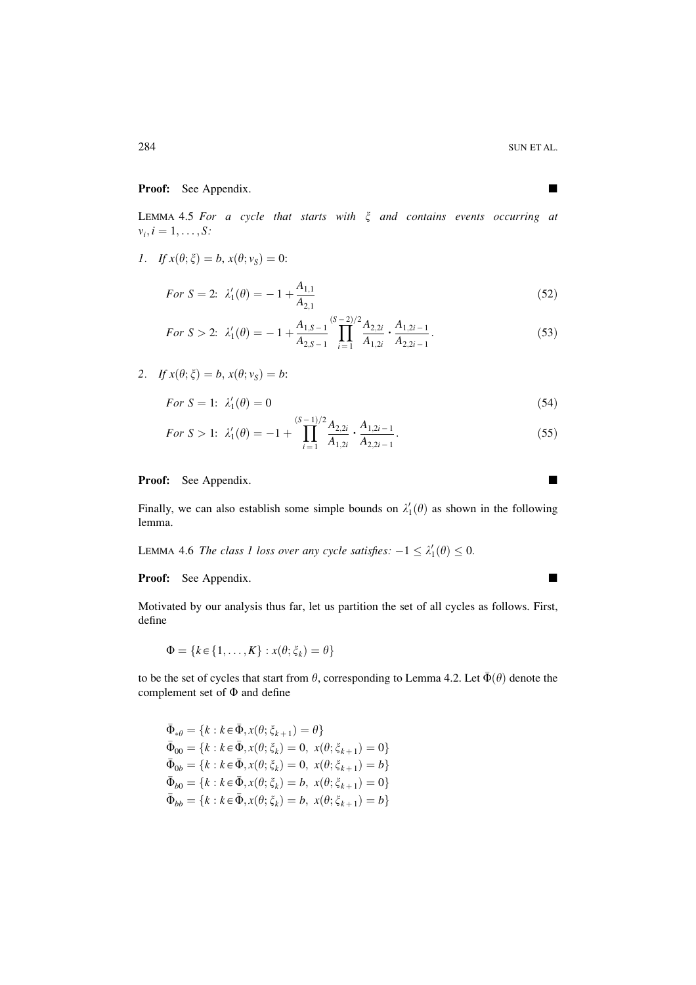# Proof: See Appendix.

LEMMA 4.5 For a cycle that starts with  $\xi$  and contains events occurring at  $v_i, i = 1, \ldots, S$ :

$$
I. \quad \text{If } x(\theta; \xi) = b, \, x(\theta; \nu_{\xi}) = 0:
$$

For 
$$
S = 2
$$
:  $\lambda'_1(\theta) = -1 + \frac{A_{1,1}}{A_{2,1}}$  (52)

$$
For S > 2: \ \lambda_1'(\theta) = -1 + \frac{A_{1,S-1}}{A_{2,S-1}} \prod_{i=1}^{(S-2)/2} \frac{A_{2,2i}}{A_{1,2i}} \cdot \frac{A_{1,2i-1}}{A_{2,2i-1}}.
$$
\n
$$
(53)
$$

2. If 
$$
x(\theta; \xi) = b
$$
,  $x(\theta; v_s) = b$ :

$$
For S = 1: \lambda_1'(\theta) = 0 \tag{54}
$$

For 
$$
S > 1
$$
:  $\lambda'_1(\theta) = -1 + \prod_{i=1}^{(S-1)/2} \frac{A_{2,2i}}{A_{1,2i}} \cdot \frac{A_{1,2i-1}}{A_{2,2i-1}}.$  (55)

# Proof: See Appendix.

Finally, we can also establish some simple bounds on  $\lambda'_1(\theta)$  as shown in the following lemma.

LEMMA 4.6 The class 1 loss over any cycle satisfies:  $-1 \leq \lambda'_1(\theta) \leq 0$ .

Proof: See Appendix.

Motivated by our analysis thus far, let us partition the set of all cycles as follows. First, define

$$
\Phi = \{k \in \{1, \ldots, K\} : x(\theta; \xi_k) = \theta\}
$$

to be the set of cycles that start from  $\theta$ , corresponding to Lemma 4.2. Let  $\bar{\Phi}(\theta)$  denote the complement set of  $\Phi$  and define

$$
\begin{aligned}\n\bar{\Phi}_{*\theta} &= \{k : k \in \bar{\Phi}, x(\theta; \xi_{k+1}) = \theta\} \\
\bar{\Phi}_{00} &= \{k : k \in \bar{\Phi}, x(\theta; \xi_k) = 0, \ x(\theta; \xi_{k+1}) = 0\} \\
\bar{\Phi}_{0b} &= \{k : k \in \bar{\Phi}, x(\theta; \xi_k) = 0, \ x(\theta; \xi_{k+1}) = b\} \\
\bar{\Phi}_{b0} &= \{k : k \in \bar{\Phi}, x(\theta; \xi_k) = b, \ x(\theta; \xi_{k+1}) = 0\} \\
\bar{\Phi}_{bb} &= \{k : k \in \bar{\Phi}, x(\theta; \xi_k) = b, \ x(\theta; \xi_{k+1}) = b\}\n\end{aligned}
$$

 $\blacksquare$ 

 $\blacksquare$ 

 $\blacksquare$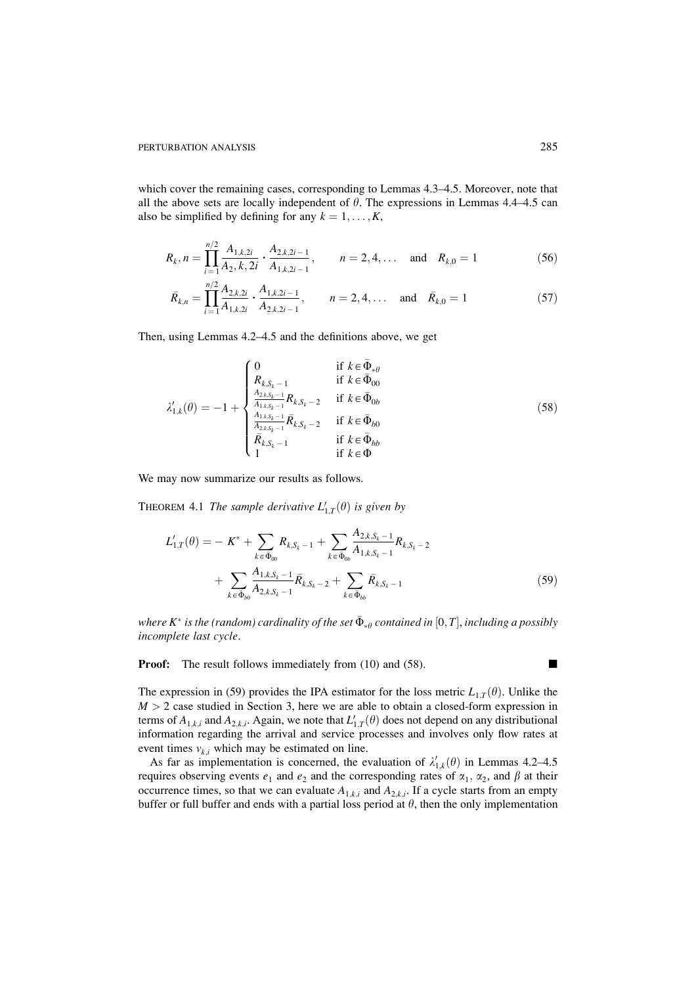which cover the remaining cases, corresponding to Lemmas 4.3–4.5. Moreover, note that all the above sets are locally independent of  $\theta$ . The expressions in Lemmas 4.4–4.5 can also be simplified by defining for any  $k = 1, ..., K$ ,

$$
R_k, n = \prod_{i=1}^{n/2} \frac{A_{1,k,2i}}{A_{2,k,2i}} \cdot \frac{A_{2,k,2i-1}}{A_{1,k,2i-1}}, \qquad n = 2, 4, \dots \quad \text{and} \quad R_{k,0} = 1 \tag{56}
$$

$$
\bar{R}_{k,n} = \prod_{i=1}^{n/2} \frac{A_{2,k,2i}}{A_{1,k,2i}} \cdot \frac{A_{1,k,2i-1}}{A_{2,k,2i-1}}, \qquad n = 2, 4, \dots \quad \text{and} \quad \bar{R}_{k,0} = 1 \tag{57}
$$

Then, using Lemmas 4.2–4.5 and the definitions above, we get

$$
\lambda'_{1,k}(\theta) = -1 + \begin{cases}\n0 & \text{if } k \in \bar{\Phi}_{*\theta} \\
R_{k,S_k-1} & \text{if } k \in \bar{\Phi}_{00} \\
\frac{A_{2,k,S_k-1}}{A_{1,k,S_k-1}} R_{k,S_k-2} & \text{if } k \in \bar{\Phi}_{0b} \\
\frac{A_{1,k,S_k-1}}{A_{2,k,S_k-1}} \bar{R}_{k,S_k-2} & \text{if } k \in \bar{\Phi}_{b0} \\
\bar{R}_{k,S_k-1} & \text{if } k \in \bar{\Phi}_{bb} \\
1 & \text{if } k \in \Phi\n\end{cases}
$$
\n(58)

We may now summarize our results as follows.

THEOREM 4.1 The sample derivative  $L'_{1,T}(\theta)$  is given by

$$
L'_{1,T}(\theta) = -K^* + \sum_{k \in \bar{\Phi}_{00}} R_{k,S_k-1} + \sum_{k \in \bar{\Phi}_{0b}} \frac{A_{2,k,S_k-1}}{A_{1,k,S_k-1}} R_{k,S_k-2} + \sum_{k \in \bar{\Phi}_{b0}} \frac{A_{1,k,S_k-1}}{A_{2,k,S_k-1}} \bar{R}_{k,S_k-2} + \sum_{k \in \bar{\Phi}_{bb}} \bar{R}_{k,S_k-1}
$$
(59)

where K<sup>\*</sup> is the (random) cardinality of the set  $\bar{\Phi}_{*0}$  contained in [0, T], including a possibly incomplete last cycle.

**Proof:** The result follows immediately from (10) and (58).

The expression in (59) provides the IPA estimator for the loss metric  $L_{1,T}(\theta)$ . Unlike the  $M > 2$  case studied in Section 3, here we are able to obtain a closed-form expression in terms of  $A_{1,k,i}$  and  $A_{2,k,i}$ . Again, we note that  $L'_{1,T}(\theta)$  does not depend on any distributional information regarding the arrival and service processes and involves only flow rates at event times  $v_{ki}$  which may be estimated on line.

As far as implementation is concerned, the evaluation of  $\lambda'_{1,k}(\theta)$  in Lemmas 4.2–4.5 requires observing events  $e_1$  and  $e_2$  and the corresponding rates of  $\alpha_1$ ,  $\alpha_2$ , and  $\beta$  at their occurrence times, so that we can evaluate  $A_{1,k,i}$  and  $A_{2,k,i}$ . If a cycle starts from an empty buffer or full buffer and ends with a partial loss period at  $\theta$ , then the only implementation

п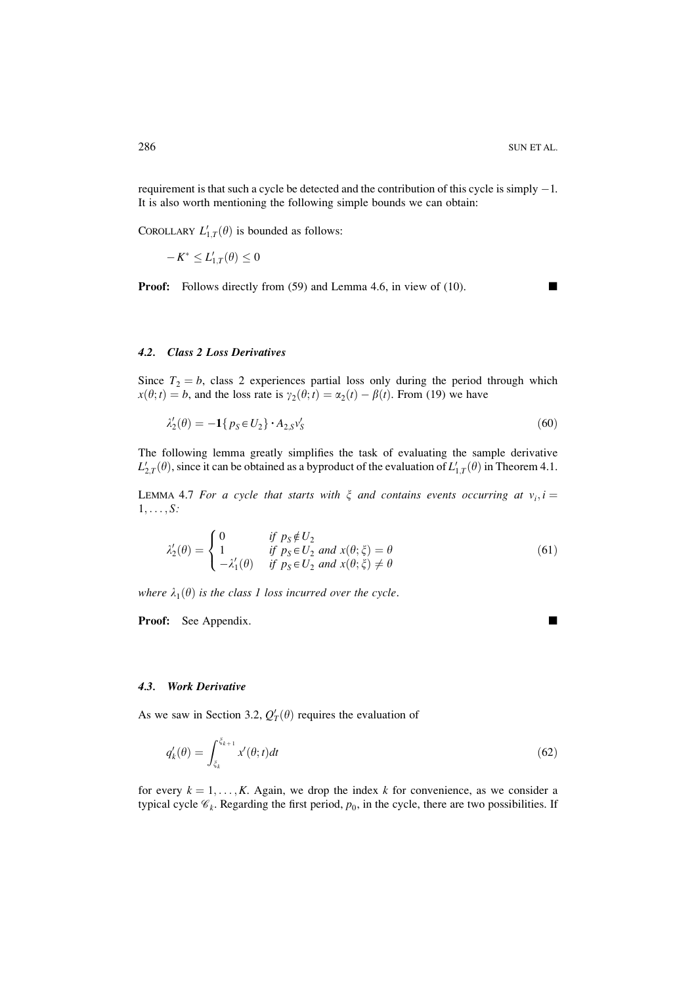requirement is that such a cycle be detected and the contribution of this cycle is simply  $-1$ . It is also worth mentioning the following simple bounds we can obtain:

COROLLARY  $L'_{1,T}(\theta)$  is bounded as follows:

 $-K^* \le L'_{1,T}(\theta) \le 0$ 

**Proof:** Follows directly from (59) and Lemma 4.6, in view of (10).

 $\blacksquare$ 

# 4.2. Class 2 Loss Derivatives

Since  $T_2 = b$ , class 2 experiences partial loss only during the period through which  $x(\theta; t) = b$ , and the loss rate is  $\gamma_2(\theta; t) = \alpha_2(t) - \beta(t)$ . From (19) we have

$$
\lambda_2'(\theta) = -\mathbf{1} \{ p_s \in U_2 \} \cdot A_{2,S} v_s' \tag{60}
$$

The following lemma greatly simplifies the task of evaluating the sample derivative  $L'_{2,T}(\theta)$ , since it can be obtained as a byproduct of the evaluation of  $L'_{1,T}(\theta)$  in Theorem 4.1.

LEMMA 4.7 For a cycle that starts with  $\xi$  and contains events occurring at  $v_i$ ,  $i =$  $1, \ldots, S$ :

$$
\lambda_2'(\theta) = \begin{cases}\n0 & \text{if } p_S \notin U_2 \\
1 & \text{if } p_S \in U_2 \text{ and } x(\theta; \xi) = \theta \\
-\lambda_1'(\theta) & \text{if } p_S \in U_2 \text{ and } x(\theta; \xi) \neq \theta\n\end{cases}
$$
\n(61)

where  $\lambda_1(\theta)$  is the class 1 loss incurred over the cycle.

**Proof:** See Appendix.

### 4.3. Work Derivative

As we saw in Section 3.2,  $Q'_T(\theta)$  requires the evaluation of

$$
q'_k(\theta) = \int_{\xi_k}^{\xi_{k+1}} x'(\theta; t) dt
$$
\n(62)

for every  $k = 1, ..., K$ . Again, we drop the index k for convenience, as we consider a typical cycle  $\mathcal{C}_k$ . Regarding the first period,  $p_0$ , in the cycle, there are two possibilities. If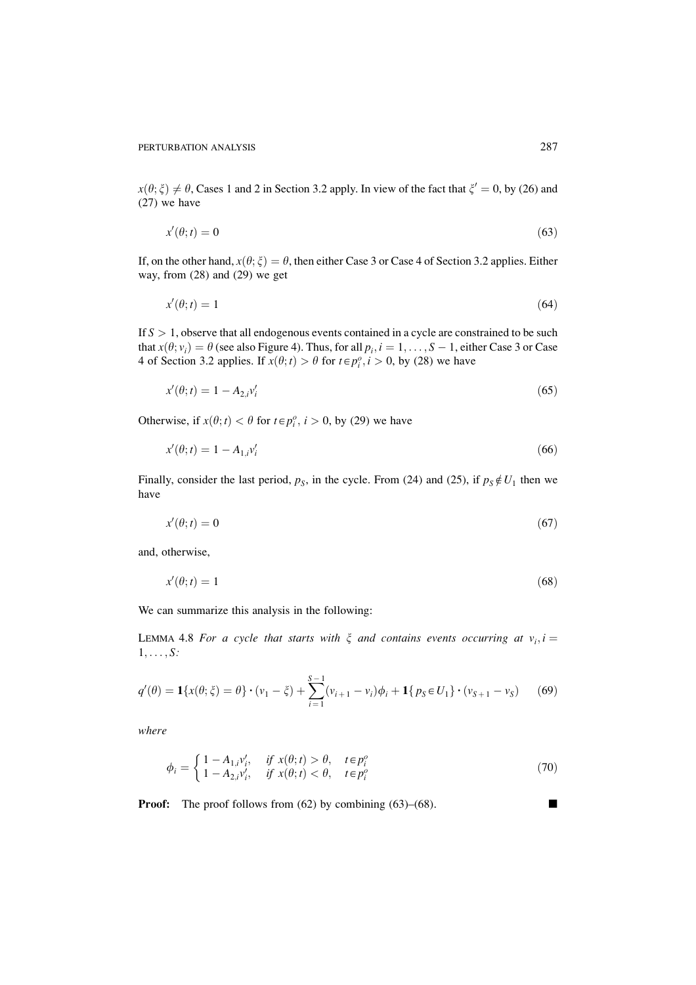$x(\theta;\xi) \neq \theta$ , Cases 1 and 2 in Section 3.2 apply. In view of the fact that  $\xi' = 0$ , by (26) and  $(27)$  we have

$$
x'(\theta; t) = 0 \tag{63}
$$

If, on the other hand,  $x(\theta; \xi) = \theta$ , then either Case 3 or Case 4 of Section 3.2 applies. Either way, from  $(28)$  and  $(29)$  we get

$$
x'(\theta; t) = 1\tag{64}
$$

If  $S > 1$ , observe that all endogenous events contained in a cycle are constrained to be such that  $x(\theta; v_i) = \theta$  (see also Figure 4). Thus, for all  $p_i$ ,  $i = 1, ..., S - 1$ , either Case 3 or Case 4 of Section 3.2 applies. If  $x(\theta; t) > \theta$  for  $t \in p_i^o$ ,  $i > 0$ , by (28) we have

$$
x'(\theta; t) = 1 - A_{2,i} v'_i \tag{65}
$$

Otherwise, if  $x(\theta; t) < \theta$  for  $t \in p_i^o$ ,  $i > 0$ , by (29) we have

$$
x'(\theta; t) = 1 - A_{1,i} v'_i \tag{66}
$$

Finally, consider the last period,  $p_s$ , in the cycle. From (24) and (25), if  $p_s \notin U_1$  then we have

$$
x'(\theta; t) = 0 \tag{67}
$$

and, otherwise,

$$
x'(\theta; t) = 1\tag{68}
$$

We can summarize this analysis in the following:

LEMMA 4.8 For a cycle that starts with  $\xi$  and contains events occurring at  $v_i$ ,  $i =$  $1, \ldots, S$ :

$$
q'(\theta) = \mathbf{1}\{x(\theta; \xi) = \theta\} \cdot (v_1 - \xi) + \sum_{i=1}^{S-1} (v_{i+1} - v_i)\phi_i + \mathbf{1}\{p_S \in U_1\} \cdot (v_{S+1} - v_S) \tag{69}
$$

where

$$
\phi_i = \begin{cases} 1 - A_{1,i} v_i', & \text{if } x(\theta; t) > \theta, \quad t \in p_i^o \\ 1 - A_{2,i} v_i', & \text{if } x(\theta; t) < \theta, \quad t \in p_i^o \end{cases}
$$
(70)

**Proof:** The proof follows from  $(62)$  by combining  $(63)$ – $(68)$ .

 $\blacksquare$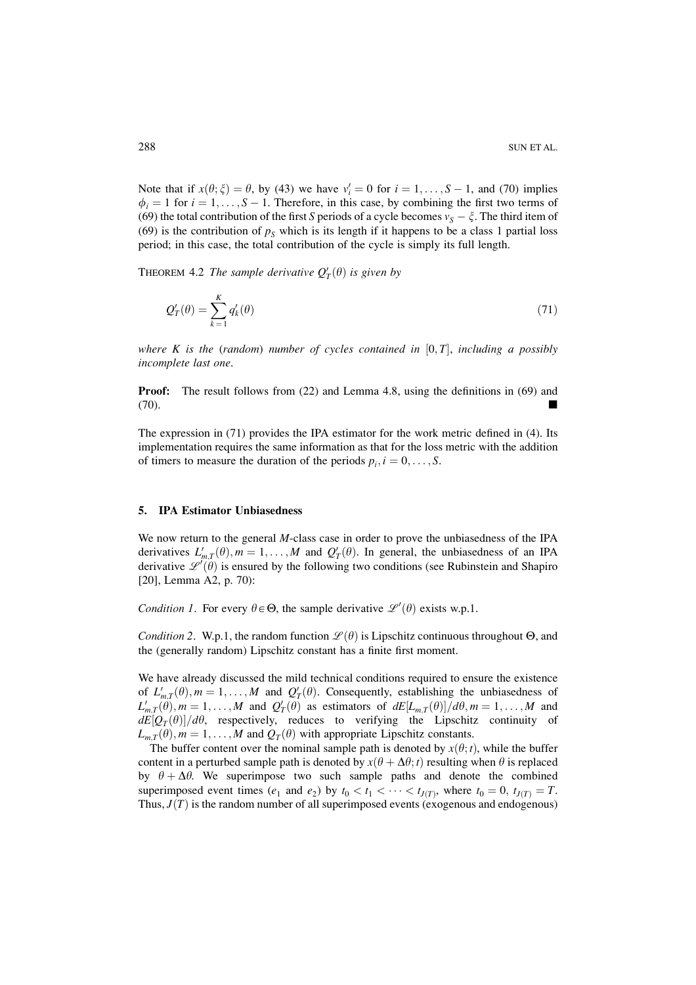Note that if  $x(\theta; \xi) = \theta$ , by (43) we have  $v'_i = 0$  for  $i = 1, ..., S - 1$ , and (70) implies  $\phi_i = 1$  for  $i = 1, ..., S - 1$ . Therefore, in this case, by combining the first two terms of (69) the total contribution of the first S periods of a cycle becomes  $v_s - \xi$ . The third item of (69) is the contribution of  $p_s$  which is its length if it happens to be a class 1 partial loss period; in this case, the total contribution of the cycle is simply its full length.

THEOREM 4.2 The sample derivative  $Q'_T(\theta)$  is given by

$$
Q_T'(\theta) = \sum_{k=1}^K q_k'(\theta) \tag{71}
$$

where K is the (random) number of cycles contained in  $[0, T]$ , including a possibly incomplete last one.

**Proof:** The result follows from (22) and Lemma 4.8, using the definitions in (69) and  $(70)$ .

The expression in  $(71)$  provides the IPA estimator for the work metric defined in  $(4)$ . Its implementation requires the same information as that for the loss metric with the addition of timers to measure the duration of the periods  $p_i$ ,  $i = 0, \ldots, S$ .

#### 5. **IPA Estimator Unbiasedness**

We now return to the general  $M$ -class case in order to prove the unbiasedness of the IPA derivatives  $L'_{m,T}(\theta)$ ,  $m = 1, ..., M$  and  $Q'_{T}(\theta)$ . In general, the unbiasedness of an IPA derivative  $\mathscr{L}'(\theta)$  is ensured by the following two conditions (see Rubinstein and Shapiro [20], Lemma A2, p. 70):

*Condition 1.* For every  $\theta \in \Theta$ , the sample derivative  $\mathscr{L}'(\theta)$  exists w.p.1.

*Condition 2.* W.p.1, the random function  $\mathcal{L}(\theta)$  is Lipschitz continuous throughout  $\Theta$ , and the (generally random) Lipschitz constant has a finite first moment.

We have already discussed the mild technical conditions required to ensure the existence of  $L'_{m,T}(\theta)$ ,  $m = 1, ..., M$  and  $Q'_T(\theta)$ . Consequently, establishing the unbiasedness of  $L'_{m,T}(\theta)$ ,  $m = 1, ..., M$  and  $Q'_T(\theta)$  as estimators of  $dE[L_{m,T}(\theta)]/d\theta$ ,  $m = 1, ..., M$  and  $dE[Q_T(\theta)]/d\theta$ , respectively, reduces to verifying the Lipschitz continuity of  $L_{mT}(\theta)$ ,  $m = 1, ..., M$  and  $Q_T(\theta)$  with appropriate Lipschitz constants.

The buffer content over the nominal sample path is denoted by  $x(\theta; t)$ , while the buffer content in a perturbed sample path is denoted by  $x(\theta + \Delta \theta; t)$  resulting when  $\theta$  is replaced by  $\theta + \Delta\theta$ . We superimpose two such sample paths and denote the combined superimposed event times  $(e_1$  and  $e_2)$  by  $t_0 < t_1 < \cdots < t_{I(T)}$ , where  $t_0 = 0$ ,  $t_{I(T)} = T$ . Thus,  $J(T)$  is the random number of all superimposed events (exogenous and endogenous)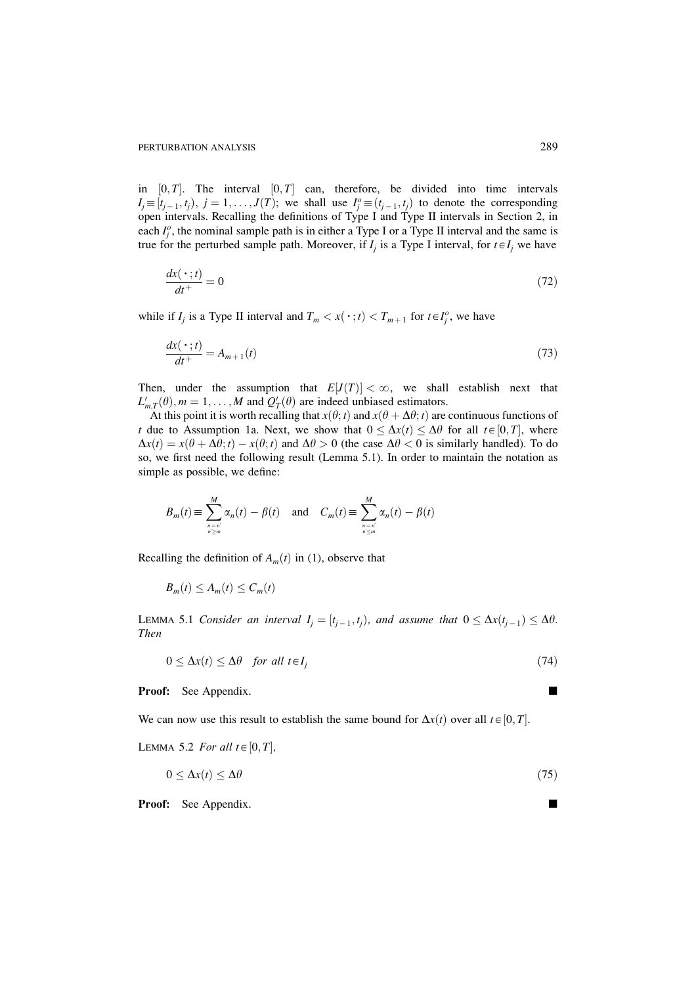in  $[0, T]$ . The interval  $[0, T]$  can, therefore, be divided into time intervals  $I_j \equiv [t_{j-1}, t_j), j = 1, \ldots, J(T)$ ; we shall use  $I_j^o \equiv (t_{j-1}, t_j)$  to denote the corresponding open intervals. Recalling the definitions of Type I and Type II intervals in Section 2, in each  $I_i^o$ , the nominal sample path is in either a Type I or a Type II interval and the same is true for the perturbed sample path. Moreover, if  $I_i$  is a Type I interval, for  $t \in I_i$  we have

$$
\frac{dx(\,\cdot\,;t)}{dt^+} = 0\tag{72}
$$

while if  $I_i$  is a Type II interval and  $T_m < x(\cdot; t) < T_{m+1}$  for  $t \in I_i^o$ , we have

$$
\frac{dx(\,\cdot\,;t)}{dt^+} = A_{m+1}(t) \tag{73}
$$

Then, under the assumption that  $E[J(T)] < \infty$ , we shall establish next that  $L'_{m,T}(\theta)$ ,  $m = 1, ..., M$  and  $Q'_{T}(\theta)$  are indeed unbiased estimators.

At this point it is worth recalling that  $x(\theta; t)$  and  $x(\theta + \Delta\theta; t)$  are continuous functions of t due to Assumption 1a. Next, we show that  $0 \leq \Delta x(t) \leq \Delta \theta$  for all  $t \in [0, T]$ , where  $\Delta x(t) = x(\theta + \Delta \theta; t) - x(\theta; t)$  and  $\Delta \theta > 0$  (the case  $\Delta \theta < 0$  is similarly handled). To do so, we first need the following result (Lemma 5.1). In order to maintain the notation as simple as possible, we define:

$$
B_m(t) \equiv \sum_{\substack{n=n \ n \geq n}}^M \alpha_n(t) - \beta(t) \quad \text{and} \quad C_m(t) \equiv \sum_{\substack{n=n \ n \geq n}}^M \alpha_n(t) - \beta(t)
$$

Recalling the definition of  $A_m(t)$  in (1), observe that

$$
B_m(t) \le A_m(t) \le C_m(t)
$$

LEMMA 5.1 Consider an interval  $I_i = [t_{i-1}, t_i)$ , and assume that  $0 \leq \Delta x(t_{i-1}) \leq \Delta \theta$ . **Then** 

$$
0 \le \Delta x(t) \le \Delta \theta \quad \text{for all } t \in I_j \tag{74}
$$

**Proof:** See Appendix.

We can now use this result to establish the same bound for  $\Delta x(t)$  over all  $t \in [0, T]$ .

LEMMA 5.2 For all  $t \in [0, T]$ ,

$$
0 \le \Delta x(t) \le \Delta \theta \tag{75}
$$

**Proof:** See Appendix.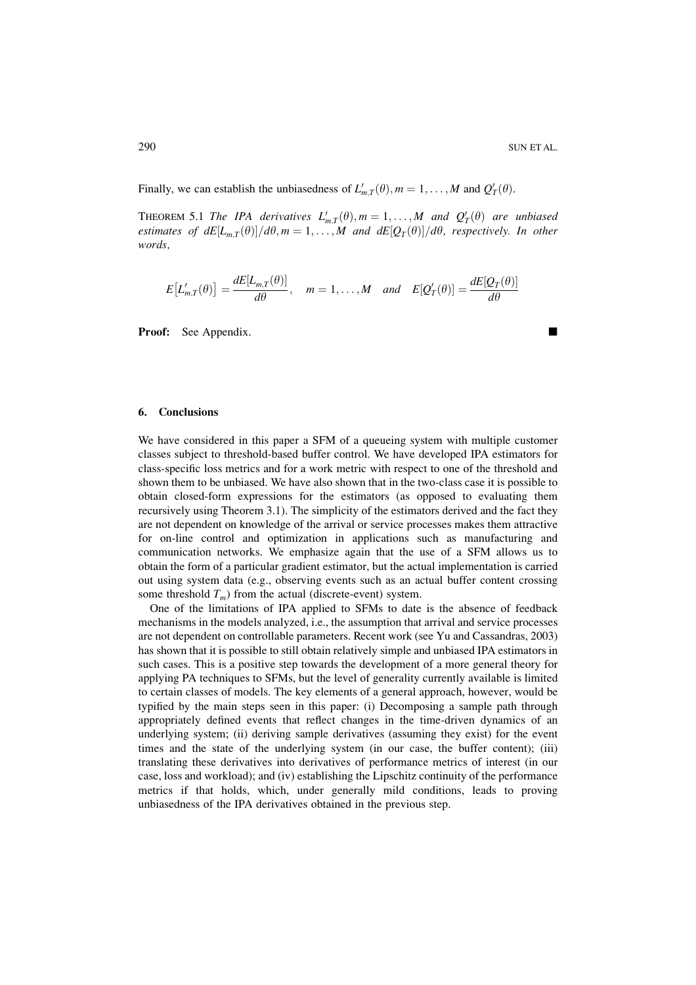Finally, we can establish the unbiasedness of  $L'_{m,T}(\theta)$ ,  $m = 1, ..., M$  and  $Q'_{T}(\theta)$ .

THEOREM 5.1 The IPA derivatives  $L'_{m,T}(\theta)$ ,  $m = 1, ..., M$  and  $Q'_{T}(\theta)$  are unbiased estimates of  $dE[L_{mT}(\theta)]/d\theta$ ,  $m=1,\ldots,M$  and  $dE[Q_T(\theta)]/d\theta$ , respectively. In other words

$$
E[L'_{m,T}(\theta)] = \frac{dE[L_{m,T}(\theta)]}{d\theta}, \quad m = 1,\ldots,M \quad and \quad E[Q'_T(\theta)] = \frac{dE[Q_T(\theta)]}{d\theta}
$$

**Proof:** See Appendix.

#### 6. **Conclusions**

We have considered in this paper a SFM of a queueing system with multiple customer classes subject to threshold-based buffer control. We have developed IPA estimators for class-specific loss metrics and for a work metric with respect to one of the threshold and shown them to be unbiased. We have also shown that in the two-class case it is possible to obtain closed-form expressions for the estimators (as opposed to evaluating them recursively using Theorem 3.1). The simplicity of the estimators derived and the fact they are not dependent on knowledge of the arrival or service processes makes them attractive for on-line control and optimization in applications such as manufacturing and communication networks. We emphasize again that the use of a SFM allows us to obtain the form of a particular gradient estimator, but the actual implementation is carried out using system data (e.g., observing events such as an actual buffer content crossing some threshold  $T_m$ ) from the actual (discrete-event) system.

One of the limitations of IPA applied to SFMs to date is the absence of feedback mechanisms in the models analyzed, i.e., the assumption that arrival and service processes are not dependent on controllable parameters. Recent work (see Yu and Cassandras, 2003) has shown that it is possible to still obtain relatively simple and unbiased IPA estimators in such cases. This is a positive step towards the development of a more general theory for applying PA techniques to SFMs, but the level of generality currently available is limited to certain classes of models. The key elements of a general approach, however, would be typified by the main steps seen in this paper: (i) Decomposing a sample path through appropriately defined events that reflect changes in the time-driven dynamics of an underlying system; (ii) deriving sample derivatives (assuming they exist) for the event times and the state of the underlying system (in our case, the buffer content); (iii) translating these derivatives into derivatives of performance metrics of interest (in our case, loss and workload); and (iv) establishing the Lipschitz continuity of the performance metrics if that holds, which, under generally mild conditions, leads to proving unbiasedness of the IPA derivatives obtained in the previous step.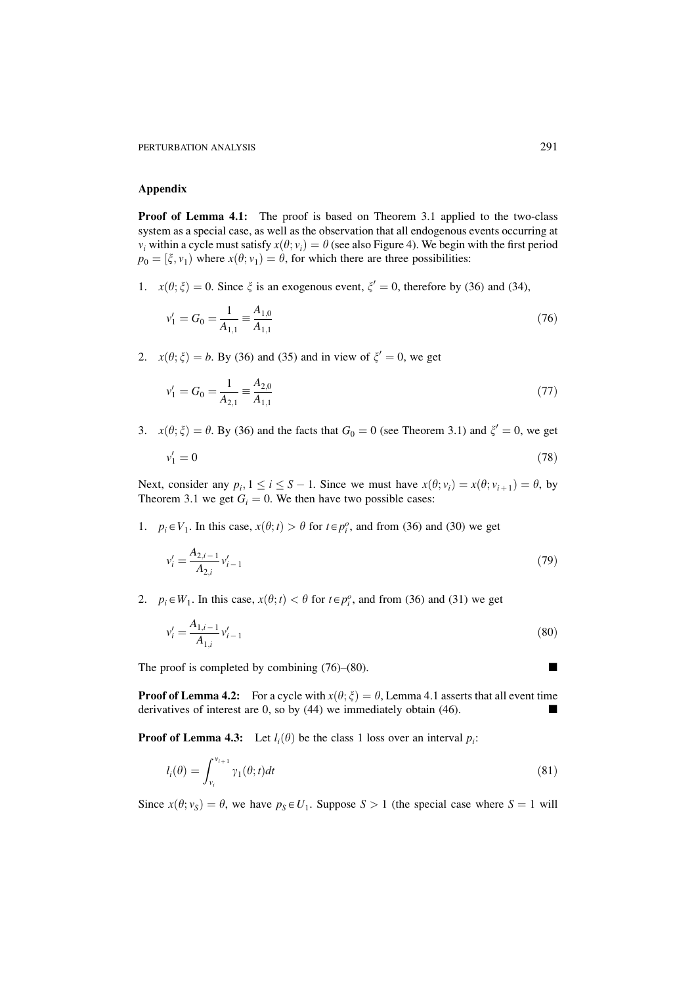#### **Appendix**

**Proof of Lemma 4.1:** The proof is based on Theorem 3.1 applied to the two-class system as a special case, as well as the observation that all endogenous events occurring at  $v_i$  within a cycle must satisfy  $x(\theta; v_i) = \theta$  (see also Figure 4). We begin with the first period  $p_0 = [\xi, v_1]$  where  $x(\theta; v_1) = \theta$ , for which there are three possibilities:

1.  $x(\theta; \xi) = 0$ . Since  $\xi$  is an exogenous event,  $\xi' = 0$ , therefore by (36) and (34),

$$
v_1' = G_0 = \frac{1}{A_{1,1}} \equiv \frac{A_{1,0}}{A_{1,1}}\tag{76}
$$

2.  $x(\theta; \xi) = b$ . By (36) and (35) and in view of  $\xi' = 0$ , we get

$$
v_1' = G_0 = \frac{1}{A_{2,1}} \equiv \frac{A_{2,0}}{A_{1,1}} \tag{77}
$$

3.  $x(\theta; \xi) = \theta$ . By (36) and the facts that  $G_0 = 0$  (see Theorem 3.1) and  $\xi' = 0$ , we get

$$
v_1' = 0 \tag{78}
$$

Next, consider any  $p_i$ ,  $1 \le i \le S - 1$ . Since we must have  $x(\theta; v_i) = x(\theta; v_{i+1}) = \theta$ , by Theorem 3.1 we get  $G_i = 0$ . We then have two possible cases:

1.  $p_i \in V_1$ . In this case,  $x(\theta; t) > \theta$  for  $t \in p_i^o$ , and from (36) and (30) we get

$$
v_i' = \frac{A_{2,i-1}}{A_{2,i}} v_{i-1}' \tag{79}
$$

2.  $p_i \in W_1$ . In this case,  $x(\theta; t) < \theta$  for  $t \in p_i^o$ , and from (36) and (31) we get

$$
v_i' = \frac{A_{1,i-1}}{A_{1,i}} v_{i-1}' \tag{80}
$$

The proof is completed by combining  $(76)$ – $(80)$ .

 $\ddot{\phantom{a}}$ 

**Proof of Lemma 4.2:** For a cycle with  $x(\theta; \xi) = \theta$ , Lemma 4.1 asserts that all event time derivatives of interest are  $0$ , so by  $(44)$  we immediately obtain  $(46)$ .  $\blacksquare$ 

**Proof of Lemma 4.3:** Let  $l_i(\theta)$  be the class 1 loss over an interval  $p_i$ :

$$
l_i(\theta) = \int_{\nu_i}^{\nu_{i+1}} \gamma_1(\theta; t) dt
$$
\n(81)

Since  $x(\theta; v_s) = \theta$ , we have  $p_s \in U_1$ . Suppose  $S > 1$  (the special case where  $S = 1$  will

 $\blacksquare$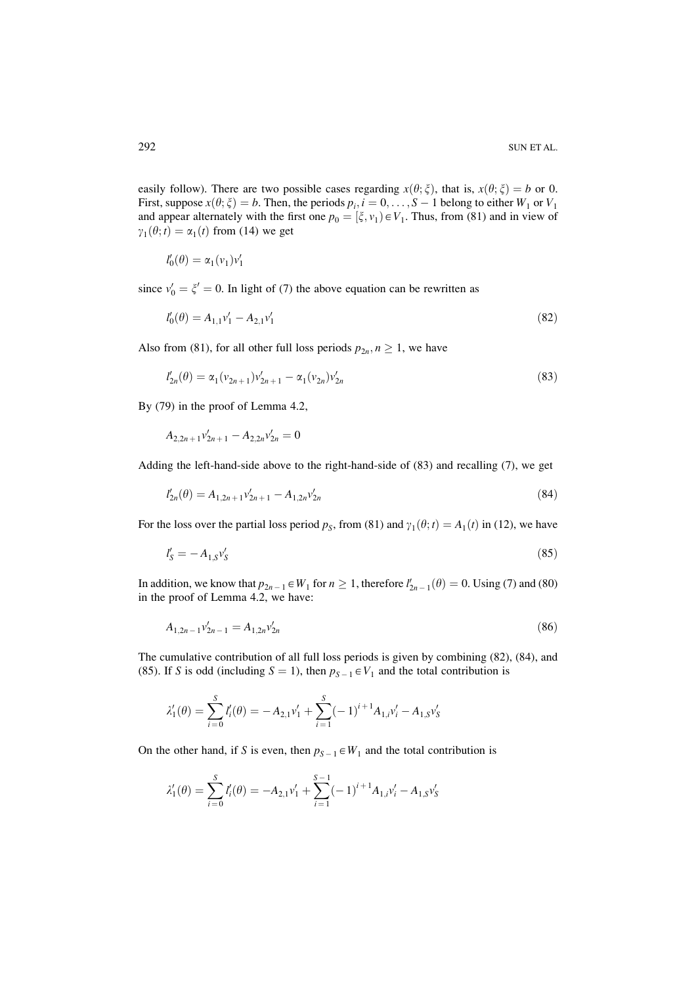easily follow). There are two possible cases regarding  $x(\theta; \xi)$ , that is,  $x(\theta; \xi) = b$  or 0. First, suppose  $x(\theta; \xi) = b$ . Then, the periods  $p_i$ ,  $i = 0, ..., S-1$  belong to either  $W_1$  or  $V_1$  and appear alternately with the first one  $p_0 = [\xi, v_1] \in V_1$ . Thus, from (81) and in view of  $\gamma_1(\theta; t) = \alpha_1(t)$  from (14) we get

$$
l'_0(\theta) = \alpha_1(v_1)v'_1
$$

since  $v'_0 = \xi' = 0$ . In light of (7) the above equation can be rewritten as

$$
l'_0(\theta) = A_{1,1}v'_1 - A_{2,1}v'_1 \tag{82}
$$

Also from (81), for all other full loss periods  $p_{2n}$ ,  $n \ge 1$ , we have

$$
l'_{2n}(\theta) = \alpha_1 (v_{2n+1}) v'_{2n+1} - \alpha_1 (v_{2n}) v'_{2n}
$$
\n(83)

By  $(79)$  in the proof of Lemma 4.2,

 $A_{2,2n+1}v'_{2n+1} - A_{2,2n}v'_{2n} = 0$ 

Adding the left-hand-side above to the right-hand-side of (83) and recalling (7), we get

$$
l'_{2n}(\theta) = A_{1,2n+1}v'_{2n+1} - A_{1,2n}v'_{2n}
$$
\n(84)

For the loss over the partial loss period  $p_s$ , from (81) and  $\gamma_1(\theta; t) = A_1(t)$  in (12), we have

$$
l'_{\mathcal{S}} = -A_{1,\mathcal{S}}v'_{\mathcal{S}}\tag{85}
$$

In addition, we know that  $p_{2n-1} \in W_1$  for  $n \ge 1$ , therefore  $l'_{2n-1}(\theta) = 0$ . Using (7) and (80) in the proof of Lemma 4.2, we have:

$$
A_{1,2n-1}v'_{2n-1} = A_{1,2n}v'_{2n}
$$
\n<sup>(86)</sup>

The cumulative contribution of all full loss periods is given by combining (82), (84), and (85). If S is odd (including  $S = 1$ ), then  $p_{S-1} \in V_1$  and the total contribution is

$$
\lambda_1'(\theta) = \sum_{i=0}^S l_i'(\theta) = -A_{2,1}v_1' + \sum_{i=1}^S (-1)^{i+1} A_{1,i}v_i' - A_{1,S}v_S'
$$

On the other hand, if S is even, then  $p_{S-1} \in W_1$  and the total contribution is

$$
\lambda_1'(\theta) = \sum_{i=0}^S l_i'(\theta) = -A_{2,1}v_1' + \sum_{i=1}^{S-1} (-1)^{i+1} A_{1,i}v_i' - A_{1,S}v_S'
$$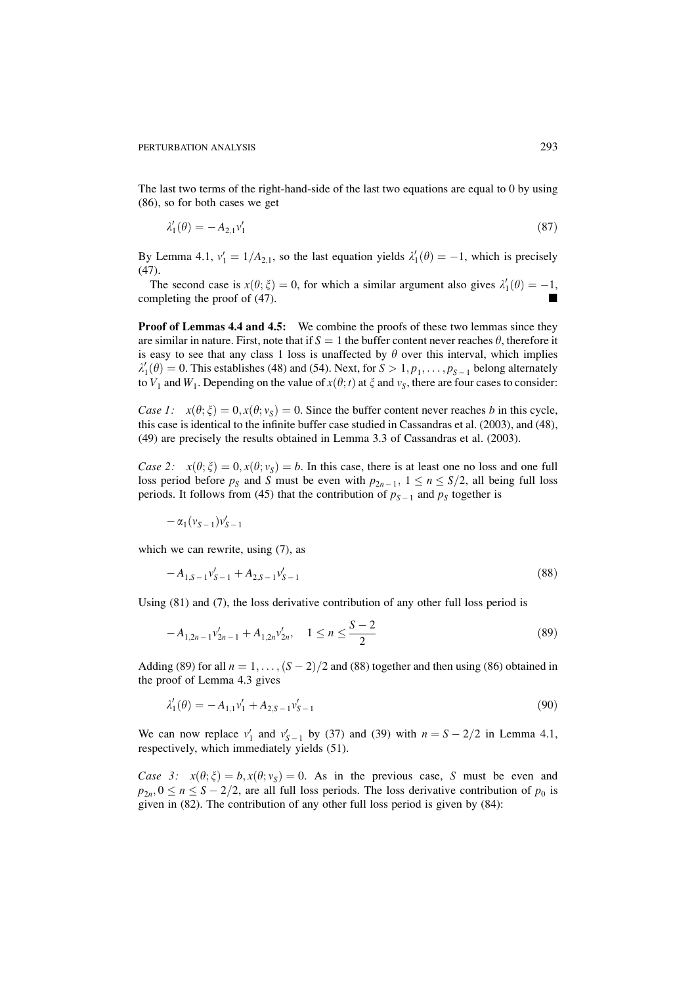The last two terms of the right-hand-side of the last two equations are equal to 0 by using  $(86)$ , so for both cases we get

$$
\lambda_1'(\theta) = -A_{2,1}v_1' \tag{87}
$$

By Lemma 4.1,  $v'_1 = 1/A_{2,1}$ , so the last equation yields  $\lambda'_1(\theta) = -1$ , which is precisely  $(47).$ 

The second case is  $x(\theta; \xi) = 0$ , for which a similar argument also gives  $\lambda'_1(\theta) = -1$ , completing the proof of (47).

**Proof of Lemmas 4.4 and 4.5:** We combine the proofs of these two lemmas since they are similar in nature. First, note that if  $S = 1$  the buffer content never reaches  $\theta$ , therefore it is easy to see that any class 1 loss is unaffected by  $\theta$  over this interval, which implies  $\lambda'_1(\theta) = 0$ . This establishes (48) and (54). Next, for  $S > 1, p_1, \ldots, p_{S-1}$  belong alternately to  $V_1$  and  $W_1$ . Depending on the value of  $x(\theta; t)$  at  $\xi$  and  $v_s$ , there are four cases to consider:

Case 1:  $x(\theta; \xi) = 0, x(\theta; v_s) = 0$ . Since the buffer content never reaches b in this cycle, this case is identical to the infinite buffer case studied in Cassandras et al. (2003), and (48), (49) are precisely the results obtained in Lemma 3.3 of Cassandras et al. (2003).

Case 2:  $x(\theta; \xi) = 0, x(\theta; v_s) = b$ . In this case, there is at least one no loss and one full loss period before  $p_s$  and S must be even with  $p_{2n-1}$ ,  $1 \le n \le S/2$ , all being full loss periods. It follows from (45) that the contribution of  $p_{S-1}$  and  $p_S$  together is

$$
-\alpha_1(v_{S-1})v'_{S-1}
$$

which we can rewrite, using  $(7)$ , as

$$
-A_{1,S-1}v'_{S-1} + A_{2,S-1}v'_{S-1} \tag{88}
$$

Using  $(81)$  and  $(7)$ , the loss derivative contribution of any other full loss period is

$$
-A_{1,2n-1}v'_{2n-1} + A_{1,2n}v'_{2n}, \quad 1 \le n \le \frac{S-2}{2}
$$
\n
$$
(89)
$$

Adding (89) for all  $n = 1, ..., (S - 2)/2$  and (88) together and then using (86) obtained in the proof of Lemma 4.3 gives

$$
\lambda_1'(\theta) = -A_{1,1}v_1' + A_{2,S-1}v_{S-1}' \tag{90}
$$

We can now replace  $v'_1$  and  $v'_{S-1}$  by (37) and (39) with  $n = S - 2/2$  in Lemma 4.1, respectively, which immediately yields (51).

Case 3:  $x(\theta; \xi) = b, x(\theta; v_s) = 0$ . As in the previous case, S must be even and  $p_{2n}$ ,  $0 \le n \le S - 2/2$ , are all full loss periods. The loss derivative contribution of  $p_0$  is given in  $(82)$ . The contribution of any other full loss period is given by  $(84)$ :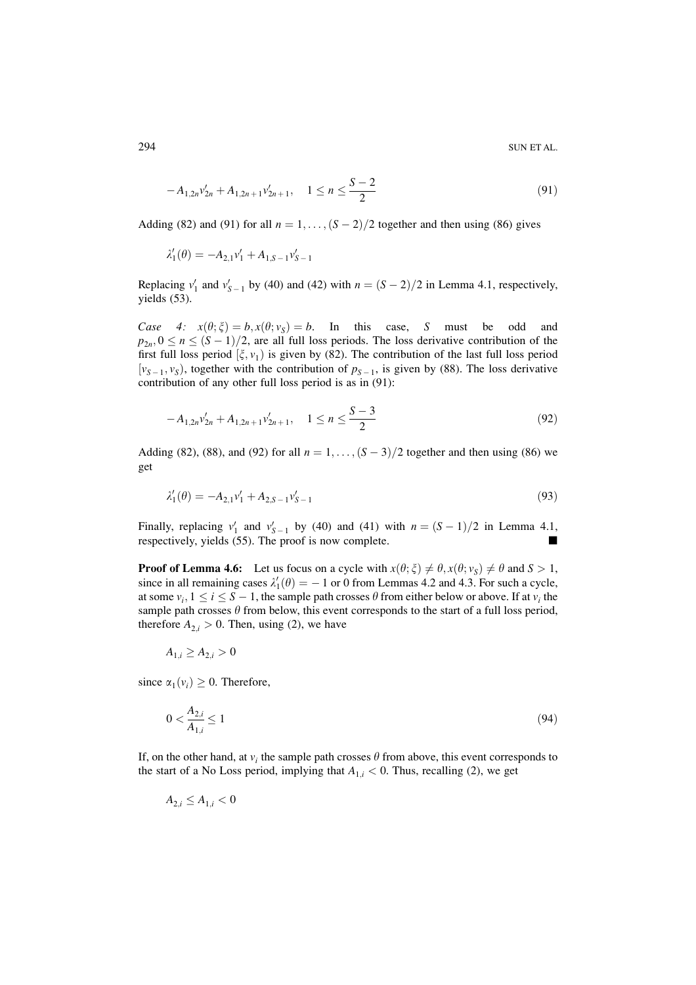$$
-A_{1,2n}v'_{2n} + A_{1,2n+1}v'_{2n+1}, \quad 1 \le n \le \frac{S-2}{2}
$$
\n<sup>(91)</sup>

Adding (82) and (91) for all  $n = 1, \ldots, (S-2)/2$  together and then using (86) gives

$$
\lambda_1'(\theta) = -A_{2,1}v_1' + A_{1,S-1}v_{S-1}'
$$

Replacing  $v'_1$  and  $v'_{S-1}$  by (40) and (42) with  $n = (S-2)/2$  in Lemma 4.1, respectively, yields  $(53)$ .

Case 4:  $x(\theta; \xi) = b, x(\theta; v_s) = b$ . In this case, S must be odd and  $p_{2n}, 0 \le n \le (S-1)/2$ , are all full loss periods. The loss derivative contribution of the first full loss period  $[\xi, v_1]$  is given by (82). The contribution of the last full loss period  $[v_{S-1}, v_S]$ , together with the contribution of  $p_{S-1}$ , is given by (88). The loss derivative contribution of any other full loss period is as in (91):

$$
-A_{1,2n}v'_{2n} + A_{1,2n+1}v'_{2n+1}, \quad 1 \le n \le \frac{S-3}{2}
$$
\n<sup>(92)</sup>

Adding (82), (88), and (92) for all  $n = 1, \ldots, (S-3)/2$  together and then using (86) we get

$$
\lambda_1'(\theta) = -A_{2,1}v_1' + A_{2,S-1}v_{S-1}' \tag{93}
$$

Finally, replacing  $v'_1$  and  $v'_{S-1}$  by (40) and (41) with  $n = (S-1)/2$  in Lemma 4.1, respectively, yields (55). The proof is now complete.

**Proof of Lemma 4.6:** Let us focus on a cycle with  $x(\theta; \xi) \neq \theta, x(\theta; v_s) \neq \theta$  and  $S > 1$ , since in all remaining cases  $\lambda'_1(\theta) = -1$  or 0 from Lemmas 4.2 and 4.3. For such a cycle, at some  $v_i$ ,  $1 \le i \le S - 1$ , the sample path crosses  $\theta$  from either below or above. If at  $v_i$  the sample path crosses  $\theta$  from below, this event corresponds to the start of a full loss period, therefore  $A_{2,i} > 0$ . Then, using (2), we have

$$
A_{1,i} \ge A_{2,i} > 0
$$

since  $\alpha_1(v_i) \geq 0$ . Therefore,

$$
0 < \frac{A_{2,i}}{A_{1,i}} \le 1 \tag{94}
$$

If, on the other hand, at  $v_i$  the sample path crosses  $\theta$  from above, this event corresponds to the start of a No Loss period, implying that  $A_{1,i} < 0$ . Thus, recalling (2), we get

$$
A_{2,i} \le A_{1,i} < 0
$$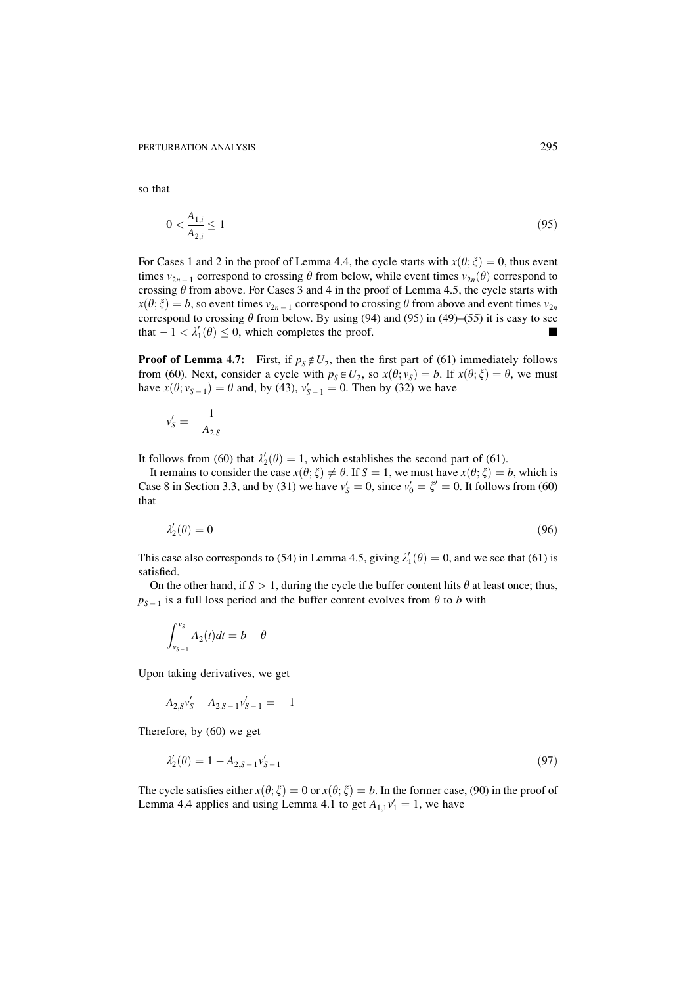so that

$$
0 < \frac{A_{1,i}}{A_{2,i}} \le 1\tag{95}
$$

For Cases 1 and 2 in the proof of Lemma 4.4, the cycle starts with  $x(\theta; \xi) = 0$ , thus event times  $v_{2n-1}$  correspond to crossing  $\theta$  from below, while event times  $v_{2n}(\theta)$  correspond to crossing  $\theta$  from above. For Cases 3 and 4 in the proof of Lemma 4.5, the cycle starts with  $x(\theta; \xi) = b$ , so event times  $v_{2n-1}$  correspond to crossing  $\theta$  from above and event times  $v_{2n}$ correspond to crossing  $\theta$  from below. By using (94) and (95) in (49)–(55) it is easy to see that  $-1 < \lambda'_1(\theta) \leq 0$ , which completes the proof.

**Proof of Lemma 4.7:** First, if  $p_S \notin U_2$ , then the first part of (61) immediately follows from (60). Next, consider a cycle with  $p_S \in U_2$ , so  $x(\theta; v_S) = b$ . If  $x(\theta; \xi) = \theta$ , we must have  $x(\theta; v_{S-1}) = \theta$  and, by (43),  $v'_{S-1} = 0$ . Then by (32) we have

$$
v_S' = -\frac{1}{A_{2,S}}
$$

It follows from (60) that  $\lambda'_2(\theta) = 1$ , which establishes the second part of (61).

It remains to consider the case  $x(\theta; \xi) \neq \theta$ . If  $S = 1$ , we must have  $x(\theta; \xi) = b$ , which is Case 8 in Section 3.3, and by (31) we have  $v'_s = 0$ , since  $v'_0 = \xi' = 0$ . It follows from (60) that

$$
\lambda_2'(\theta) = 0 \tag{96}
$$

This case also corresponds to (54) in Lemma 4.5, giving  $\lambda'_1(\theta) = 0$ , and we see that (61) is satisfied.

On the other hand, if  $S > 1$ , during the cycle the buffer content hits  $\theta$  at least once; thus,  $p_{S-1}$  is a full loss period and the buffer content evolves from  $\theta$  to b with

$$
\int_{v_{S-1}}^{v_S} A_2(t)dt = b - \theta
$$

Upon taking derivatives, we get

$$
A_{2,S}v'_{S} - A_{2,S-1}v'_{S-1} = -1
$$

Therefore, by  $(60)$  we get

$$
\lambda_2'(\theta) = 1 - A_{2,S-1} v_{S-1}' \tag{97}
$$

The cycle satisfies either  $x(\theta; \xi) = 0$  or  $x(\theta; \xi) = b$ . In the former case, (90) in the proof of Lemma 4.4 applies and using Lemma 4.1 to get  $A_{1,1}v'_1 = 1$ , we have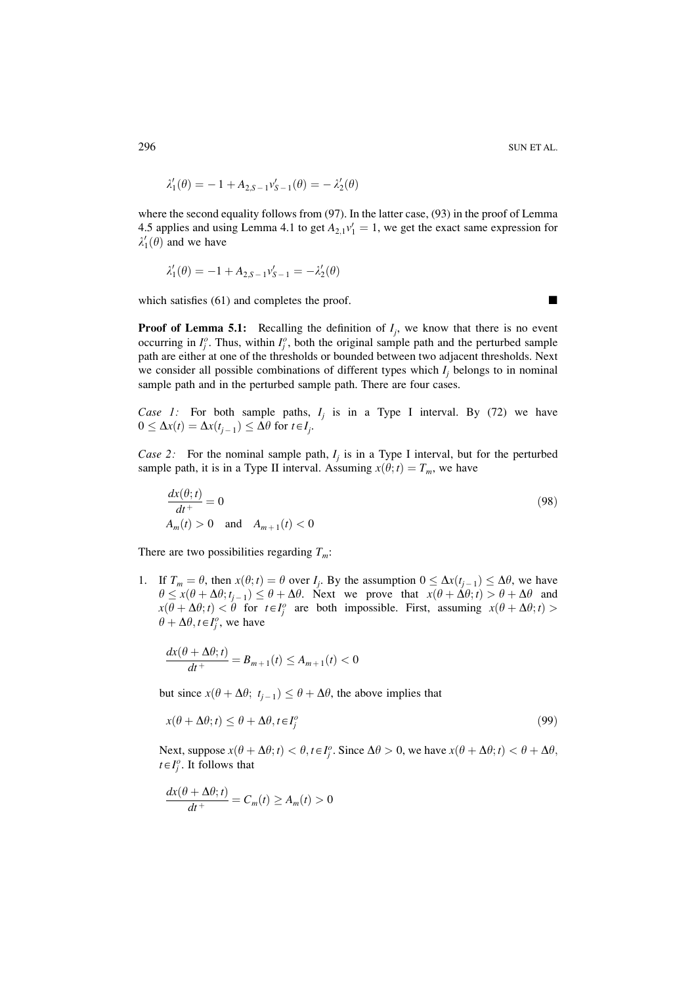$$
\lambda_1'(\theta) = -1 + A_{2,S-1} v_{S-1}'(\theta) = -\lambda_2'(\theta)
$$

where the second equality follows from  $(97)$ . In the latter case,  $(93)$  in the proof of Lemma 4.5 applies and using Lemma 4.1 to get  $A_{2,1}v'_1 = 1$ , we get the exact same expression for  $\lambda'_1(\theta)$  and we have

$$
\lambda_1'(\theta) = -1 + A_{2,S-1} v_{S-1}' = -\lambda_2'(\theta)
$$

which satisfies (61) and completes the proof.

**Proof of Lemma 5.1:** Recalling the definition of  $I_i$ , we know that there is no event occurring in  $I_i^o$ . Thus, within  $I_i^o$ , both the original sample path and the perturbed sample path are either at one of the thresholds or bounded between two adjacent thresholds. Next we consider all possible combinations of different types which  $I_i$  belongs to in nominal sample path and in the perturbed sample path. There are four cases.

Case 1: For both sample paths,  $I_i$  is in a Type I interval. By (72) we have  $0 \leq \Delta x(t) = \Delta x(t_{i-1}) \leq \Delta \theta$  for  $t \in I_i$ .

Case 2: For the nominal sample path,  $I_i$  is in a Type I interval, but for the perturbed sample path, it is in a Type II interval. Assuming  $x(\theta; t) = T_m$ , we have

$$
\frac{dx(\theta; t)}{dt^+} = 0
$$
\n
$$
A_m(t) > 0 \quad \text{and} \quad A_{m+1}(t) < 0
$$
\n
$$
(98)
$$

There are two possibilities regarding  $T_m$ :

1. If  $T_m = \theta$ , then  $x(\theta; t) = \theta$  over  $I_j$ . By the assumption  $0 \leq \Delta x(t_{j-1}) \leq \Delta \theta$ , we have  $\theta \leq x(\theta + \Delta \theta; t_{i-1}) \leq \theta + \Delta \theta$ . Next we prove that  $x(\theta + \Delta \theta; t) > \theta + \Delta \theta$  and  $x(\theta + \Delta\theta; t) < \theta$  for  $t \in I_i^o$  are both impossible. First, assuming  $x(\theta + \Delta\theta; t) >$  $\theta + \Delta \theta, t \in I_i^o$ , we have

$$
\frac{dx(\theta + \Delta\theta; t)}{dt^+} = B_{m+1}(t) \le A_{m+1}(t) < 0
$$

but since  $x(\theta + \Delta \theta; t_{i-1}) \leq \theta + \Delta \theta$ , the above implies that

$$
x(\theta + \Delta\theta; t) \le \theta + \Delta\theta, t \in I_j^o \tag{99}
$$

Next, suppose  $x(\theta + \Delta \theta; t) < \theta, t \in I_i^o$ . Since  $\Delta \theta > 0$ , we have  $x(\theta + \Delta \theta; t) < \theta + \Delta \theta$ ,  $t \in I_i^o$ . It follows that

$$
\frac{dx(\theta + \Delta\theta; t)}{dt^+} = C_m(t) \ge A_m(t) > 0
$$

296

 $\blacksquare$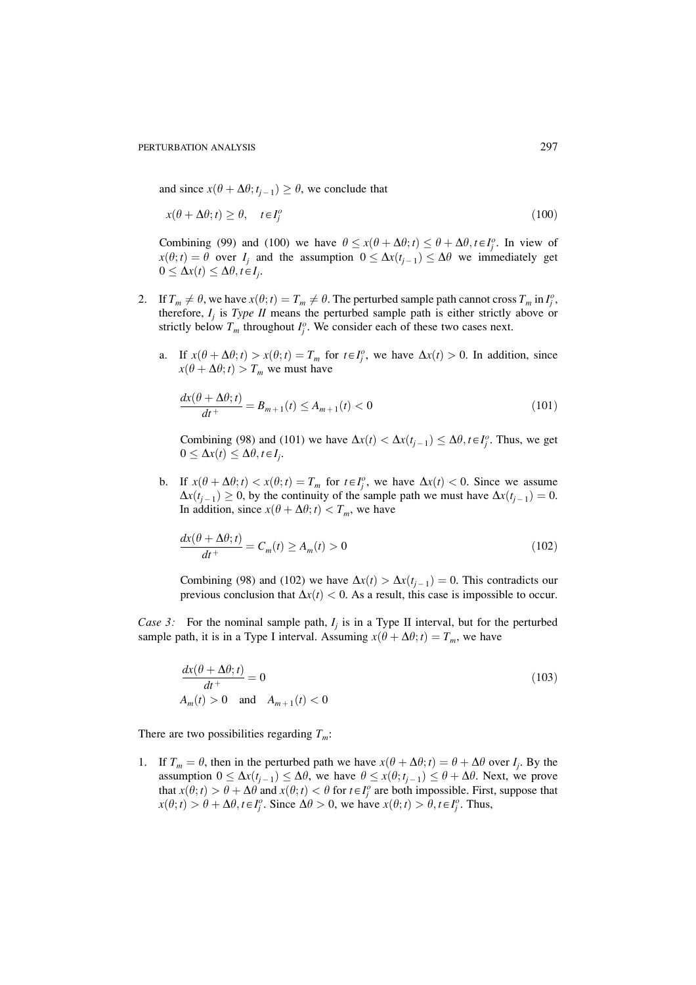and since  $x(\theta + \Delta \theta; t_{i-1}) \geq \theta$ , we conclude that

$$
x(\theta + \Delta\theta; t) \ge \theta, \quad t \in I_i^o \tag{100}
$$

Combining (99) and (100) we have  $\theta \le x(\theta + \Delta \theta; t) \le \theta + \Delta \theta, t \in I_i^o$ . In view of  $x(\theta; t) = \theta$  over  $I_i$  and the assumption  $0 \leq \Delta x(t_{i-1}) \leq \Delta \theta$  we immediately get  $0 \leq \Delta x(t) \leq \Delta \theta, t \in I_i$ .

- 2. If  $T_m \neq \theta$ , we have  $x(\theta; t) = T_m \neq \theta$ . The perturbed sample path cannot cross  $T_m$  in  $I_j^o$ , therefore,  $I_i$  is Type II means the perturbed sample path is either strictly above or strictly below  $T_m$  throughout  $I_i^o$ . We consider each of these two cases next.
	- a. If  $x(\theta + \Delta \theta; t) > x(\theta; t) = T_m$  for  $t \in I_i^o$ , we have  $\Delta x(t) > 0$ . In addition, since  $x(\theta + \Delta \theta; t) > T_m$  we must have

$$
\frac{dx(\theta + \Delta\theta; t)}{dt^+} = B_{m+1}(t) \le A_{m+1}(t) < 0
$$
\n(101)

Combining (98) and (101) we have  $\Delta x(t) < \Delta x(t_{i-1}) \leq \Delta \theta, t \in I_i^o$ . Thus, we get  $0 \leq \Delta x(t) \leq \Delta \theta, t \in I_i$ .

b. If  $x(\theta + \Delta \theta; t) < x(\theta; t) = T_m$  for  $t \in I_i^o$ , we have  $\Delta x(t) < 0$ . Since we assume  $\Delta x(t_{i-1}) \geq 0$ , by the continuity of the sample path we must have  $\Delta x(t_{i-1}) = 0$ . In addition, since  $x(\theta + \Delta \theta; t) < T_m$ , we have

$$
\frac{dx(\theta + \Delta\theta; t)}{dt^+} = C_m(t) \ge A_m(t) > 0
$$
\n(102)

Combining (98) and (102) we have  $\Delta x(t) > \Delta x(t_{i-1}) = 0$ . This contradicts our previous conclusion that  $\Delta x(t) < 0$ . As a result, this case is impossible to occur.

Case 3: For the nominal sample path,  $I_i$  is in a Type II interval, but for the perturbed sample path, it is in a Type I interval. Assuming  $x(\theta + \Delta \theta; t) = T_m$ , we have

$$
\frac{dx(\theta + \Delta\theta; t)}{dt^+} = 0
$$
\n
$$
A_m(t) > 0 \quad \text{and} \quad A_{m+1}(t) < 0
$$
\n(103)

There are two possibilities regarding  $T_m$ :

1. If  $T_m = \theta$ , then in the perturbed path we have  $x(\theta + \Delta \theta; t) = \theta + \Delta \theta$  over  $I_i$ . By the assumption  $0 \leq \Delta x(t_{i-1}) \leq \Delta \theta$ , we have  $\theta \leq x(\theta; t_{i-1}) \leq \theta + \Delta \theta$ . Next, we prove that  $x(\theta; t) > \theta + \Delta \theta$  and  $x(\theta; t) < \theta$  for  $t \in I_i^o$  are both impossible. First, suppose that  $x(\theta; t) > \theta + \Delta\theta, t \in I_i^o$ . Since  $\Delta\theta > 0$ , we have  $x(\theta; t) > \theta, t \in I_i^o$ . Thus,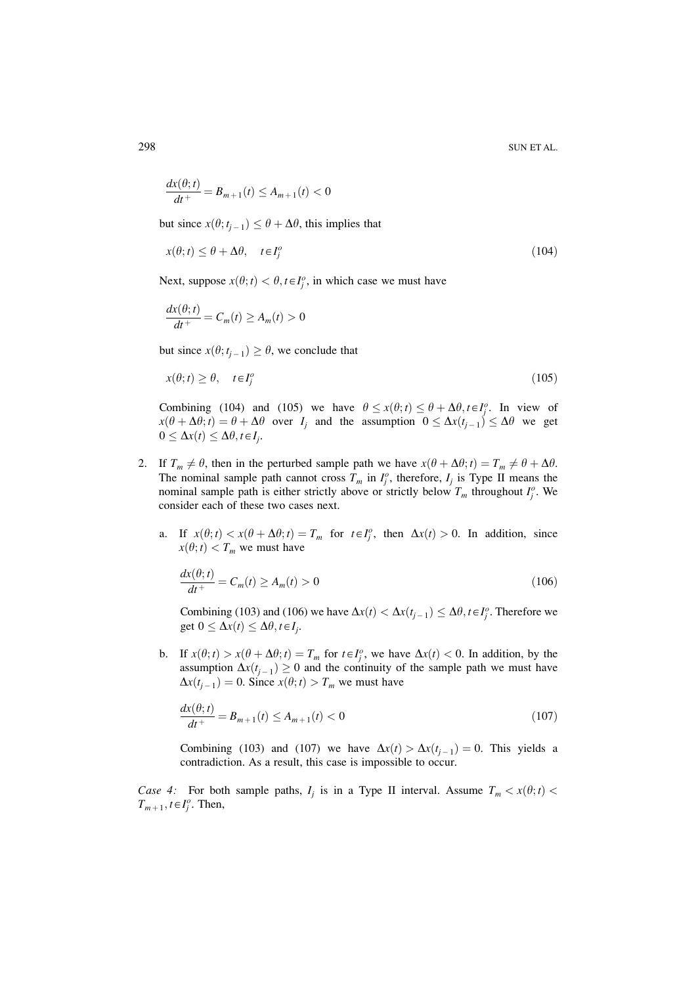$$
\frac{dx(\theta; t)}{dt^+} = B_{m+1}(t) \le A_{m+1}(t) < 0
$$

but since  $x(\theta; t_{i-1}) \leq \theta + \Delta \theta$ , this implies that

$$
x(\theta; t) \le \theta + \Delta\theta, \quad t \in I_i^o \tag{104}
$$

Next, suppose  $x(\theta; t) < \theta, t \in I_i^o$ , in which case we must have

$$
\frac{dx(\theta; t)}{dt^+} = C_m(t) \ge A_m(t) > 0
$$

but since  $x(\theta; t_{i-1}) \geq \theta$ , we conclude that

$$
x(\theta; t) \ge \theta, \quad t \in I_i^o \tag{105}
$$

Combining (104) and (105) we have  $\theta \leq x(\theta; t) \leq \theta + \Delta \theta, t \in I_i^o$ . In view of  $x(\theta + \Delta \theta; t) = \theta + \Delta \theta$  over  $I_i$  and the assumption  $0 \leq \Delta x (t_{i-1}) \leq \Delta \theta$  we get  $0 \leq \Delta x(t) \leq \Delta \theta, t \in I_i$ .

- 2. If  $T_m \neq \theta$ , then in the perturbed sample path we have  $x(\theta + \Delta \theta; t) = T_m \neq \theta + \Delta \theta$ . The nominal sample path cannot cross  $T_m$  in  $I_j^o$ , therefore,  $I_j$  is Type II means the nominal sample path is either strictly above or strictly below  $T_m$  throughout  $I_i^o$ . We consider each of these two cases next.
	- a. If  $x(\theta; t) < x(\theta + \Delta \theta; t) = T_m$  for  $t \in I_i^o$ , then  $\Delta x(t) > 0$ . In addition, since  $x(\theta; t) < T_m$  we must have

$$
\frac{dx(\theta; t)}{dt^+} = C_m(t) \ge A_m(t) > 0
$$
\n(106)

Combining (103) and (106) we have  $\Delta x(t) < \Delta x(t_{i-1}) \leq \Delta \theta, t \in I_i^o$ . Therefore we get  $0 \leq \Delta x(t) \leq \Delta \theta, t \in I_i$ .

b. If  $x(\theta; t) > x(\theta + \Delta \theta; t) = T_m$  for  $t \in I_i^o$ , we have  $\Delta x(t) < 0$ . In addition, by the assumption  $\Delta x(t_{i-1}) \geq 0$  and the continuity of the sample path we must have  $\Delta x(t_{j-1}) = 0$ . Since  $x(\theta; t) > T_m$  we must have

$$
\frac{dx(\theta; t)}{dt^+} = B_{m+1}(t) \le A_{m+1}(t) < 0
$$
\n(107)

Combining (103) and (107) we have  $\Delta x(t) > \Delta x(t_{i-1}) = 0$ . This yields a contradiction. As a result, this case is impossible to occur.

*Case 4:* For both sample paths,  $I_i$  is in a Type II interval. Assume  $T_m < x(\theta; t)$  $T_{m+1}$ ,  $t \in I_i^o$ . Then,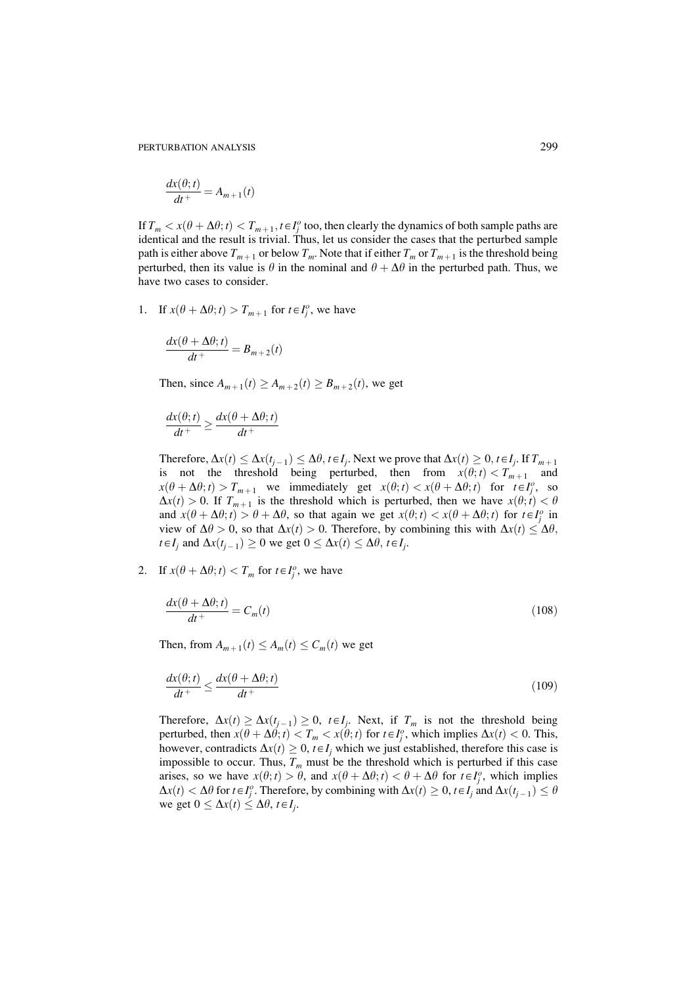$$
\frac{dx(\theta; t)}{dt^+} = A_{m+1}(t)
$$

If  $T_m < x(\theta + \Delta \theta; t) < T_{m+1}, t \in I_i^o$  too, then clearly the dynamics of both sample paths are identical and the result is trivial. Thus, let us consider the cases that the perturbed sample path is either above  $T_{m+1}$  or below  $T_m$ . Note that if either  $T_m$  or  $T_{m+1}$  is the threshold being perturbed, then its value is  $\theta$  in the nominal and  $\theta + \Delta \theta$  in the perturbed path. Thus, we have two cases to consider.

1. If  $x(\theta + \Delta \theta; t) > T_{m+1}$  for  $t \in I_j^o$ , we have

$$
\frac{dx(\theta + \Delta\theta; t)}{dt^+} = B_{m+2}(t)
$$

Then, since  $A_{m+1}(t) \ge A_{m+2}(t) \ge B_{m+2}(t)$ , we get

$$
\frac{dx(\theta; t)}{dt^+} \ge \frac{dx(\theta + \Delta\theta; t)}{dt^+}
$$

Therefore,  $\Delta x(t) \leq \Delta x(t_{j-1}) \leq \Delta \theta$ ,  $t \in I_j$ . Next we prove that  $\Delta x(t) \geq 0$ ,  $t \in I_j$ . If  $T_{m+1}$  is not the threshold being perturbed, then from  $x(\theta; t) < T_{m+1}$  and  $x(\theta + \Delta \theta; t) > T_{m+1}$  we immediately get  $x(\theta; t) < x(\theta + \Delta \theta; t)$  for  $t \in I_1^o$ , so  $\Delta x(t) > 0$ . If  $T_{m+1}$  is the threshold which is perturbed, then we have  $x(\theta; t) < \theta$ and  $x(\theta + \Delta \theta; t) > \theta + \Delta \theta$ , so that again we get  $x(\theta; t) < x(\theta + \Delta \theta; t)$  for  $t \in I_i^o$  in view of  $\Delta\theta > 0$ , so that  $\Delta x(t) > 0$ . Therefore, by combining this with  $\Delta x(t) \leq \Delta\theta$ ,  $t \in I_i$  and  $\Delta x(t_{i-1}) \ge 0$  we get  $0 \le \Delta x(t) \le \Delta \theta$ ,  $t \in I_i$ .

2. If  $x(\theta + \Delta \theta; t) < T_m$  for  $t \in I_i^o$ , we have

$$
\frac{dx(\theta + \Delta\theta; t)}{dt^+} = C_m(t) \tag{108}
$$

Then, from  $A_{m+1}(t) \leq A_m(t) \leq C_m(t)$  we get

$$
\frac{dx(\theta; t)}{dt^+} \le \frac{dx(\theta + \Delta\theta; t)}{dt^+} \tag{109}
$$

Therefore,  $\Delta x(t) \ge \Delta x(t_{j-1}) \ge 0$ ,  $t \in I_j$ . Next, if  $T_m$  is not the threshold being perturbed, then  $x(\theta + \Delta \theta; t) < T_m < x(\theta; t)$  for  $t \in I_i^o$ , which implies  $\Delta x(t) < 0$ . This, however, contradicts  $\Delta x(t) \geq 0$ ,  $t \in I_i$ , which we just established, therefore this case is impossible to occur. Thus,  $T_m$  must be the threshold which is perturbed if this case arises, so we have  $x(\theta; t) > \theta$ , and  $x(\theta + \Delta \theta; t) < \theta + \Delta \theta$  for  $t \in I_i^o$ , which implies  $\Delta x(t) < \Delta \theta$  for  $t \in I_i^o$ . Therefore, by combining with  $\Delta x(t) \geq 0$ ,  $t \in I_i$  and  $\Delta x(t_{i-1}) \leq \theta$ we get  $0 \leq \Delta x(t) \leq \Delta \theta$ ,  $t \in I_i$ .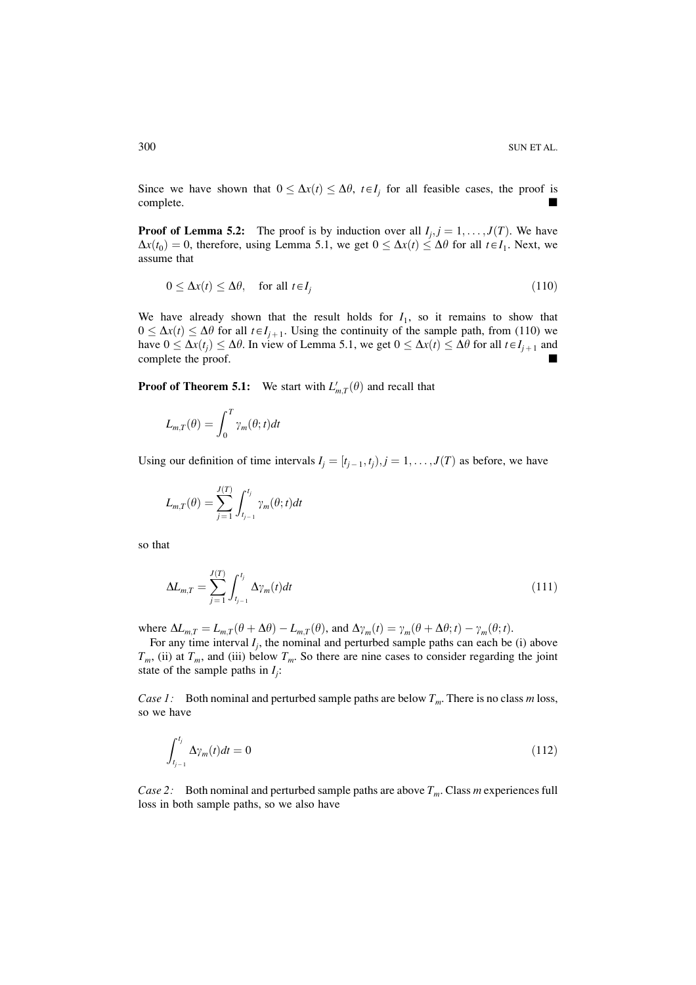Since we have shown that  $0 \leq \Delta x(t) \leq \Delta \theta$ ,  $t \in I_i$  for all feasible cases, the proof is complete.

**Proof of Lemma 5.2:** The proof is by induction over all  $I_i$ ,  $j = 1, ..., J(T)$ . We have  $\Delta x(t_0) = 0$ , therefore, using Lemma 5.1, we get  $0 \leq \Delta x(t) \leq \Delta \theta$  for all  $t \in I_1$ . Next, we assume that

$$
0 \le \Delta x(t) \le \Delta \theta, \quad \text{for all } t \in I_i \tag{110}
$$

We have already shown that the result holds for  $I_1$ , so it remains to show that  $0 \leq \Delta x(t) \leq \Delta \theta$  for all  $t \in I_{i+1}$ . Using the continuity of the sample path, from (110) we have  $0 \leq \Delta x(t_i) \leq \Delta \theta$ . In view of Lemma 5.1, we get  $0 \leq \Delta x(t) \leq \Delta \theta$  for all  $t \in I_{i+1}$  and complete the proof.

**Proof of Theorem 5.1:** We start with  $L'_{m,T}(\theta)$  and recall that

$$
L_{m,T}(\theta) = \int_0^T \gamma_m(\theta; t) dt
$$

Using our definition of time intervals  $I_j = [t_{j-1}, t_j), j = 1, ..., J(T)$  as before, we have

$$
L_{m,T}(\theta) = \sum_{j=1}^{J(T)} \int_{t_{j-1}}^{t_j} \gamma_m(\theta; t) dt
$$

so that

$$
\Delta L_{m,T} = \sum_{j=1}^{J(T)} \int_{t_{j-1}}^{t_j} \Delta \gamma_m(t) dt
$$
\n(111)

where  $\Delta L_{m,T} = L_{m,T}(\theta + \Delta \theta) - L_{m,T}(\theta)$ , and  $\Delta \gamma_m(t) = \gamma_m(\theta + \Delta \theta; t) - \gamma_m(\theta; t)$ .

For any time interval  $I_i$ , the nominal and perturbed sample paths can each be (i) above  $T_m$ , (ii) at  $T_m$ , and (iii) below  $T_m$ . So there are nine cases to consider regarding the joint state of the sample paths in  $I_i$ :

*Case 1:* Both nominal and perturbed sample paths are below  $T_m$ . There is no class m loss, so we have

$$
\int_{t_{j-1}}^{t_j} \Delta \gamma_m(t) dt = 0 \tag{112}
$$

*Case 2:* Both nominal and perturbed sample paths are above  $T_m$ . Class m experiences full loss in both sample paths, so we also have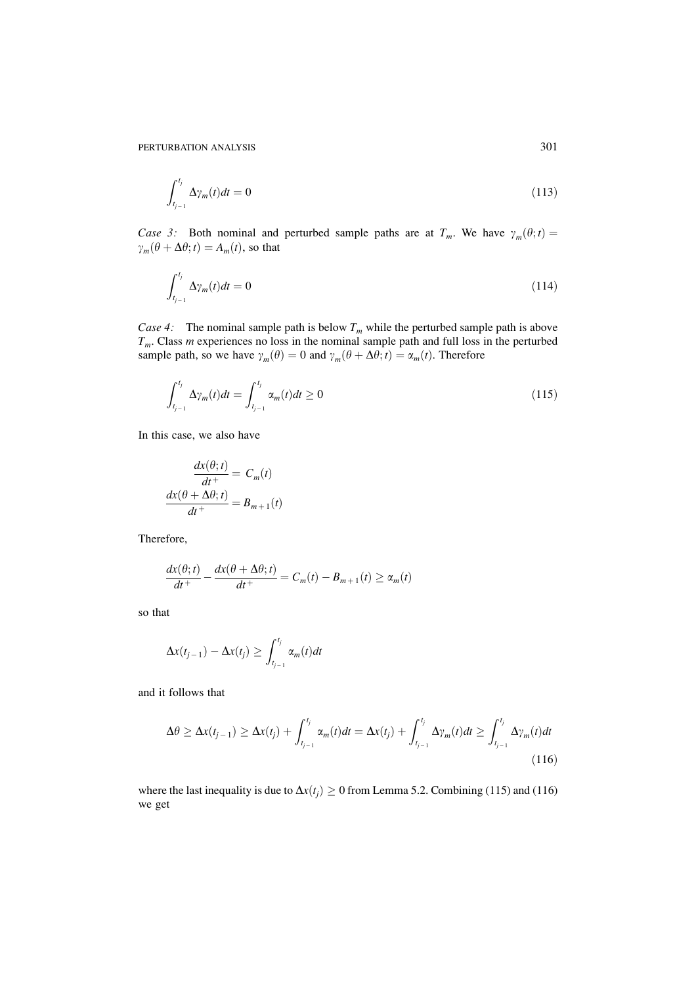$$
\int_{t_{j-1}}^{t_j} \Delta \gamma_m(t) dt = 0 \tag{113}
$$

*Case 3:* Both nominal and perturbed sample paths are at  $T_m$ . We have  $\gamma_m(\theta; t) =$  $\gamma_m(\theta + \Delta\theta; t) = A_m(t)$ , so that

$$
\int_{t_{j-1}}^{t_j} \Delta \gamma_m(t) dt = 0 \tag{114}
$$

Case 4: The nominal sample path is below  $T_m$  while the perturbed sample path is above  $T_m$ . Class m experiences no loss in the nominal sample path and full loss in the perturbed sample path, so we have  $\gamma_m(\theta) = 0$  and  $\$ 

$$
\int_{t_{j-1}}^{t_j} \Delta \gamma_m(t) dt = \int_{t_{j-1}}^{t_j} \alpha_m(t) dt \ge 0
$$
\n(115)

In this case, we also have

$$
\frac{dx(\theta; t)}{dt^+} = C_m(t)
$$

$$
\frac{dx(\theta + \Delta\theta; t)}{dt^+} = B_{m+1}(t)
$$

Therefore,

$$
\frac{dx(\theta; t)}{dt^+} - \frac{dx(\theta + \Delta\theta; t)}{dt^+} = C_m(t) - B_{m+1}(t) \ge \alpha_m(t)
$$

so that

$$
\Delta x(t_{j-1}) - \Delta x(t_j) \ge \int_{t_{j-1}}^{t_j} \alpha_m(t) dt
$$

and it follows that

$$
\Delta\theta \geq \Delta x(t_{j-1}) \geq \Delta x(t_j) + \int_{t_{j-1}}^{t_j} \alpha_m(t)dt = \Delta x(t_j) + \int_{t_{j-1}}^{t_j} \Delta \gamma_m(t)dt \geq \int_{t_{j-1}}^{t_j} \Delta \gamma_m(t)dt
$$
\n(116)

where the last inequality is due to  $\Delta x(t_i) \ge 0$  from Lemma 5.2. Combining (115) and (116) we get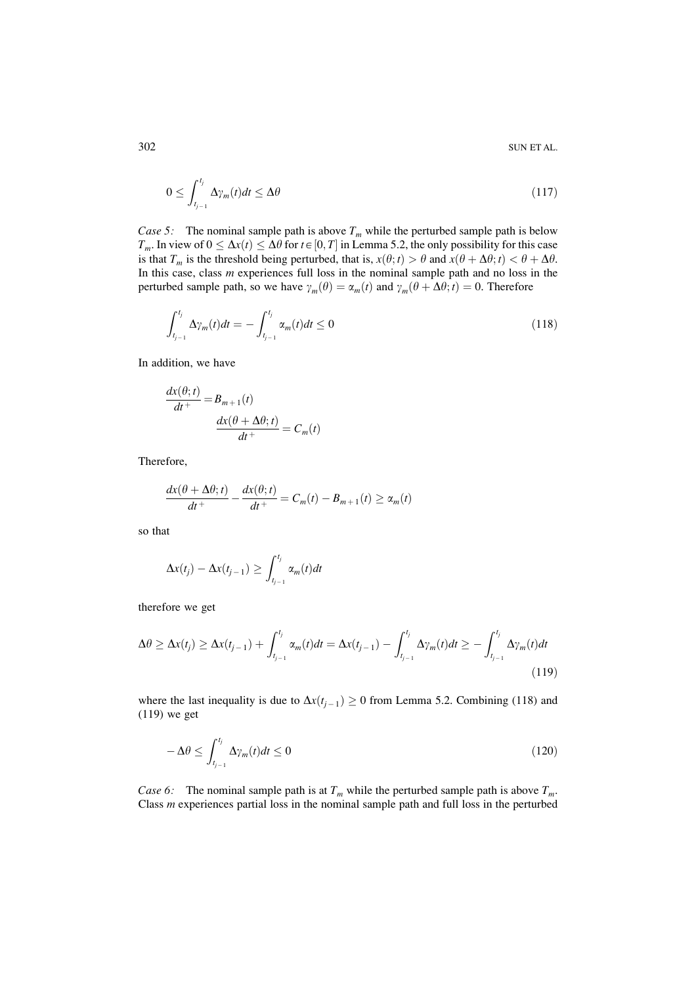$$
0 \le \int_{t_{j-1}}^{t_j} \Delta \gamma_m(t) dt \le \Delta \theta \tag{117}
$$

*Case 5:* The nominal sample path is above  $T_m$  while the perturbed sample path is below  $T_m$ . In view of  $0 \leq \Delta x(t) \leq \Delta \theta$  for  $t \in [0, T]$  in Lemma 5.2, the only possibility for this case is that  $T_m$  is the threshold being perturbed, that is,  $x(\theta; t) > \theta$  and  $x(\theta + \Delta \theta; t) < \theta + \Delta \theta$ . In this case, class  $m$  experiences full loss in the nominal sample path and no loss in the perturbed sample path, so we have  $\gamma_m(\theta) = \alpha_m(t)$  and  $\gamma_m(\theta + \Delta\theta; t) = 0$ . Therefore

$$
\int_{t_{j-1}}^{t_j} \Delta \gamma_m(t) dt = - \int_{t_{j-1}}^{t_j} \alpha_m(t) dt \le 0
$$
\n(118)

In addition, we have

$$
\frac{dx(\theta; t)}{dt^+} = B_{m+1}(t)
$$

$$
\frac{dx(\theta + \Delta\theta; t)}{dt^+} = C_m(t)
$$

Therefore,

$$
\frac{dx(\theta + \Delta\theta; t)}{dt^+} - \frac{dx(\theta; t)}{dt^+} = C_m(t) - B_{m+1}(t) \ge \alpha_m(t)
$$

so that

$$
\Delta x(t_j) - \Delta x(t_{j-1}) \ge \int_{t_{j-1}}^{t_j} \alpha_m(t) dt
$$

therefore we get

$$
\Delta \theta \ge \Delta x(t_j) \ge \Delta x(t_{j-1}) + \int_{t_{j-1}}^{t_j} \alpha_m(t) dt = \Delta x(t_{j-1}) - \int_{t_{j-1}}^{t_j} \Delta \gamma_m(t) dt \ge - \int_{t_{j-1}}^{t_j} \Delta \gamma_m(t) dt \tag{119}
$$

where the last inequality is due to  $\Delta x(t_{i-1}) \ge 0$  from Lemma 5.2. Combining (118) and  $(119)$  we get

$$
-\Delta\theta \le \int_{t_{j-1}}^{t_j} \Delta \gamma_m(t) dt \le 0
$$
\n(120)

Case 6: The nominal sample path is at  $T_m$  while the perturbed sample path is above  $T_m$ . Class  $m$  experiences partial loss in the nominal sample path and full loss in the perturbed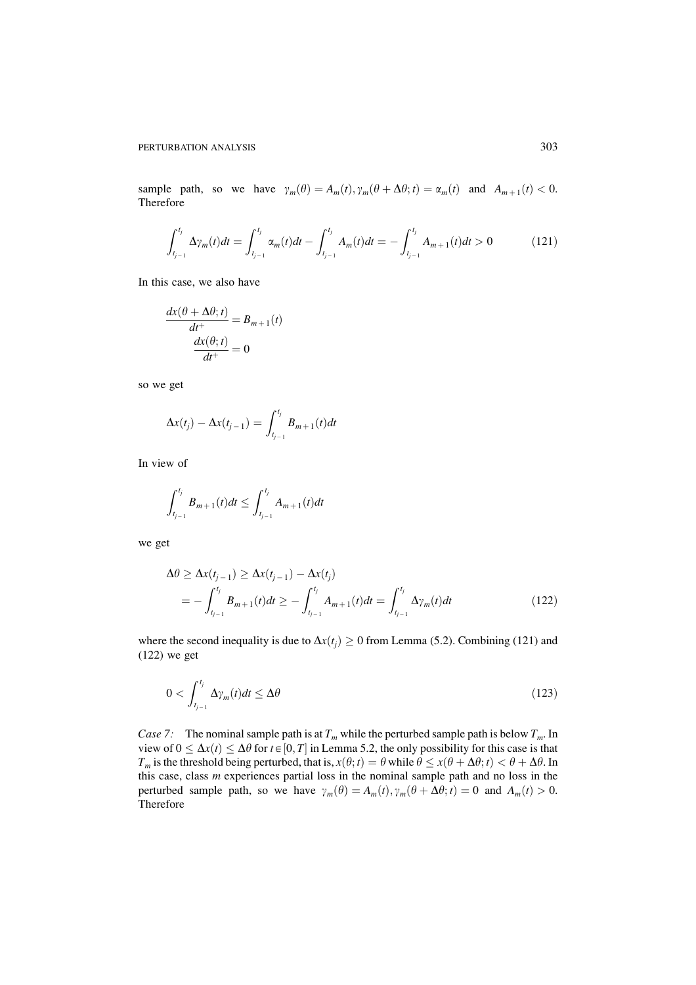sample path, so we have  $\gamma_m(\theta) = A_m(t), \gamma_m(\theta + \Delta \theta; t) = \alpha_m(t)$  and  $A_{m+1}(t) < 0$ . Therefore

$$
\int_{t_{j-1}}^{t_j} \Delta \gamma_m(t) dt = \int_{t_{j-1}}^{t_j} \alpha_m(t) dt - \int_{t_{j-1}}^{t_j} A_m(t) dt = - \int_{t_{j-1}}^{t_j} A_{m+1}(t) dt > 0 \tag{121}
$$

In this case, we also have

$$
\frac{dx(\theta + \Delta \theta; t)}{dt^+} = B_{m+1}(t)
$$

$$
\frac{dx(\theta; t)}{dt^+} = 0
$$

so we get

$$
\Delta x(t_j) - \Delta x(t_{j-1}) = \int_{t_{j-1}}^{t_j} B_{m+1}(t) dt
$$

In view of

$$
\int_{t_{j-1}}^{t_j} B_{m+1}(t)dt \le \int_{t_{j-1}}^{t_j} A_{m+1}(t)dt
$$

we get

$$
\Delta \theta \ge \Delta x(t_{j-1}) \ge \Delta x(t_{j-1}) - \Delta x(t_j)
$$
  
= 
$$
-\int_{t_{j-1}}^{t_j} B_{m+1}(t)dt \ge -\int_{t_{j-1}}^{t_j} A_{m+1}(t)dt = \int_{t_{j-1}}^{t_j} \Delta \gamma_m(t)dt
$$
 (122)

where the second inequality is due to  $\Delta x(t_i) \ge 0$  from Lemma (5.2). Combining (121) and  $(122)$  we get

$$
0 < \int_{t_{j-1}}^{t_j} \Delta \gamma_m(t) dt \le \Delta \theta \tag{123}
$$

Case 7: The nominal sample path is at  $T_m$  while the perturbed sample path is below  $T_m$ . In view of  $0 \leq \Delta x(t) \leq \Delta \theta$  for  $t \in [0, T]$  in Lemma 5.2, the only possibility for this case is that  $T_m$  is the threshold being perturbed, that is,  $x(\theta; t) = \theta$  while  $\theta \le x(\theta + \Delta \theta; t) < \theta + \Delta \theta$ . In this case, class  $m$  experiences partial loss in the nominal sample path and no loss in the perturbed sample path, so we have  $\gamma_m(\theta) = A_m(t), \gamma_m(\theta + \Delta \theta; t) = 0$  and  $A_m(t) > 0$ . Therefore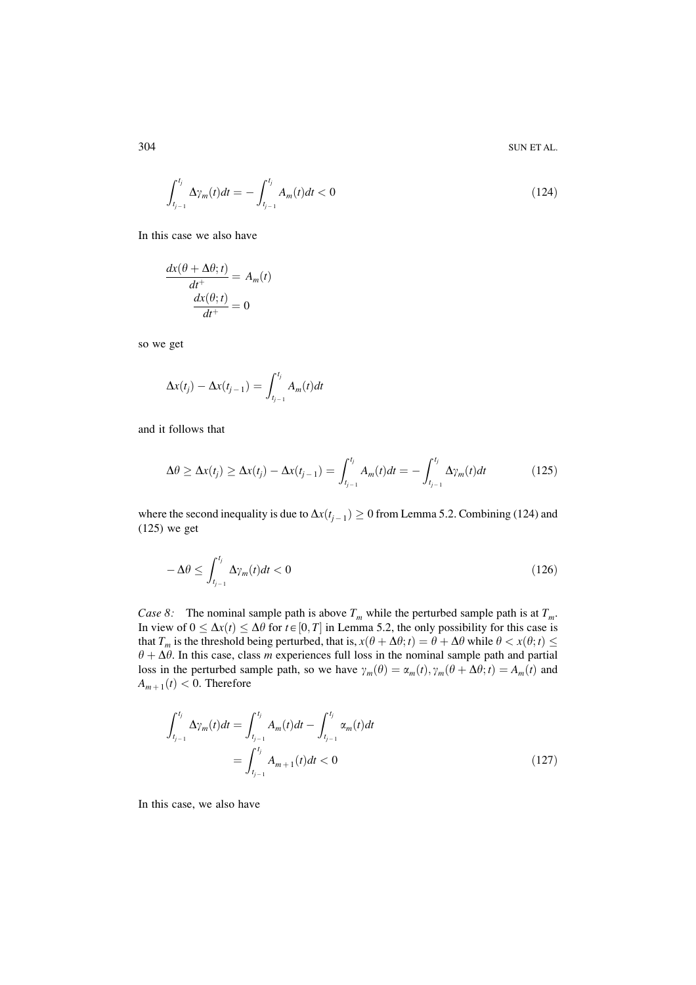$$
\int_{t_{j-1}}^{t_j} \Delta \gamma_m(t) dt = - \int_{t_{j-1}}^{t_j} A_m(t) dt < 0
$$
\n(124)

In this case we also have

$$
\frac{dx(\theta + \Delta \theta; t)}{dt^+} = A_m(t)
$$

$$
\frac{dx(\theta; t)}{dt^+} = 0
$$

so we get

$$
\Delta x(t_j) - \Delta x(t_{j-1}) = \int_{t_{j-1}}^{t_j} A_m(t)dt
$$

and it follows that

$$
\Delta \theta \ge \Delta x(t_j) \ge \Delta x(t_j) - \Delta x(t_{j-1}) = \int_{t_{j-1}}^{t_j} A_m(t)dt = -\int_{t_{j-1}}^{t_j} \Delta \gamma_m(t)dt \tag{125}
$$

where the second inequality is due to  $\Delta x(t_{j-1}) \ge 0$  from Lemma 5.2. Combining (124) and  $(125)$  we get

$$
-\Delta\theta \le \int_{t_{j-1}}^{t_j} \Delta \gamma_m(t) dt < 0 \tag{126}
$$

Case 8: The nominal sample path is above  $T_m$  while the perturbed sample path is at  $T_m$ . In view of  $0 \leq \Delta x(t) \leq \Delta \theta$  for  $t \in [0, T]$  in Lemma 5.2, the only possibility for this case is that  $T_m$  is the threshold being perturbed, that is,  $x(\theta + \Delta \theta; t) = \theta + \Delta \theta$  while  $\theta < x(\theta; t) \le$  $\theta + \Delta \theta$ . In this case, class *m* experiences full loss in the nominal sample path and partial loss in the perturbed sample path, so we have  $\gamma_m(\theta) = \alpha_m(t), \gamma_m(\theta + \Delta \theta; t) = A_m(t)$  and  $A_{m+1}(t) < 0$ . Therefore

$$
\int_{t_{j-1}}^{t_j} \Delta \gamma_m(t) dt = \int_{t_{j-1}}^{t_j} A_m(t) dt - \int_{t_{j-1}}^{t_j} \alpha_m(t) dt
$$

$$
= \int_{t_{j-1}}^{t_j} A_{m+1}(t) dt < 0
$$
(127)

In this case, we also have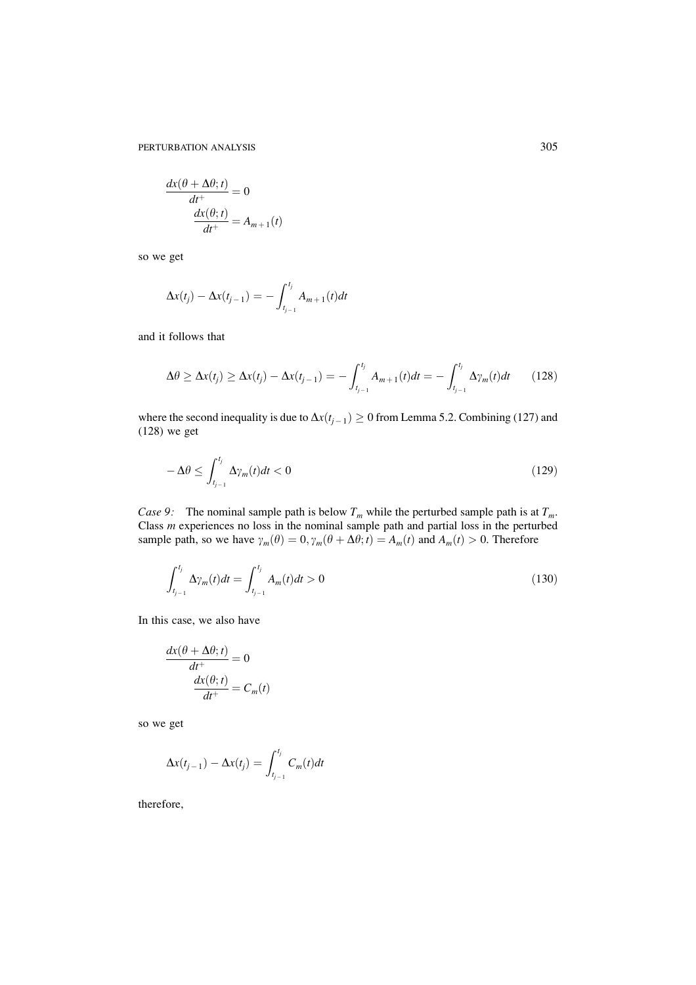$$
\frac{dx(\theta + \Delta\theta; t)}{dt^+} = 0
$$

$$
\frac{dx(\theta; t)}{dt^+} = A_{m+1}(t)
$$

so we get

$$
\Delta x(t_j) - \Delta x(t_{j-1}) = -\int_{t_{j-1}}^{t_j} A_{m+1}(t)dt
$$

and it follows that

$$
\Delta \theta \ge \Delta x(t_j) \ge \Delta x(t_j) - \Delta x(t_{j-1}) = -\int_{t_{j-1}}^{t_j} A_{m+1}(t)dt = -\int_{t_{j-1}}^{t_j} \Delta \gamma_m(t)dt \qquad (128)
$$

where the second inequality is due to  $\Delta x(t_{j-1}) \ge 0$  from Lemma 5.2. Combining (127) and  $(128)$  we get

$$
-\Delta\theta \le \int_{t_{j-1}}^{t_j} \Delta\gamma_m(t)dt < 0
$$
\n(129)

Case 9: The nominal sample path is below  $T_m$  while the perturbed sample path is at  $T_m$ . Class *m* experiences no loss in the nominal sample path and partial loss in the perturbed sample path, so we have  $\gamma_m(\theta) = 0$ ,  $\gamma_m(\theta + \Delta \theta; t) = A_m(t)$  and  $A_m(t) > 0$ . Therefore

$$
\int_{t_{j-1}}^{t_j} \Delta \gamma_m(t) dt = \int_{t_{j-1}}^{t_j} A_m(t) dt > 0
$$
\n(130)

In this case, we also have

$$
\frac{dx(\theta + \Delta\theta; t)}{dt^+} = 0
$$

$$
\frac{dx(\theta; t)}{dt^+} = C_m(t)
$$

so we get

$$
\Delta x(t_{j-1}) - \Delta x(t_j) = \int_{t_{j-1}}^{t_j} C_m(t) dt
$$

therefore,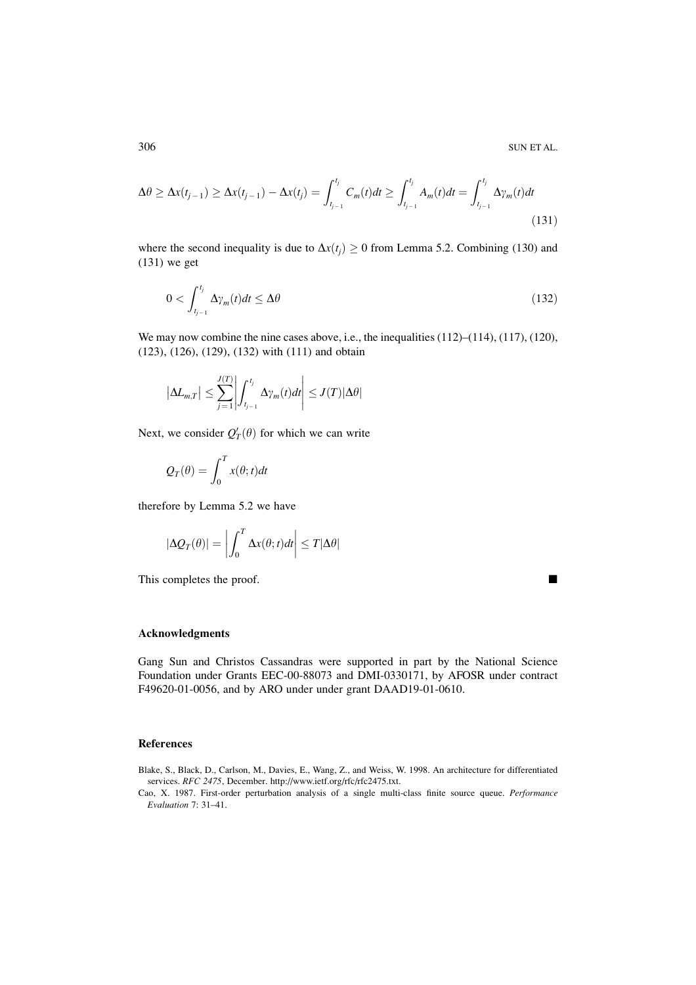$$
\Delta \theta \ge \Delta x(t_{j-1}) \ge \Delta x(t_{j-1}) - \Delta x(t_j) = \int_{t_{j-1}}^{t_j} C_m(t) dt \ge \int_{t_{j-1}}^{t_j} A_m(t) dt = \int_{t_{j-1}}^{t_j} \Delta \gamma_m(t) dt
$$
\n(131)

where the second inequality is due to  $\Delta x(t_i) \ge 0$  from Lemma 5.2. Combining (130) and  $(131)$  we get

$$
0 < \int_{t_{j-1}}^{t_j} \Delta \gamma_m(t) dt \le \Delta \theta \tag{132}
$$

We may now combine the nine cases above, i.e., the inequalities  $(112)$ – $(114)$ ,  $(117)$ ,  $(120)$ ,  $(123)$ ,  $(126)$ ,  $(129)$ ,  $(132)$  with  $(111)$  and obtain

$$
\left|\Delta L_{m,T}\right| \leq \sum_{j=1}^{J(T)} \left| \int_{t_{j-1}}^{t_j} \Delta \gamma_m(t) dt \right| \leq J(T) |\Delta \theta|
$$

Next, we consider  $Q'_T(\theta)$  for which we can write

$$
Q_T(\theta) = \int_0^T x(\theta; t) dt
$$

therefore by Lemma 5.2 we have

$$
|\Delta Q_T(\theta)| = \left| \int_0^T \Delta x(\theta; t) dt \right| \leq T |\Delta \theta|
$$

This completes the proof.

 $\blacksquare$ 

### **Acknowledgments**

Gang Sun and Christos Cassandras were supported in part by the National Science Foundation under Grants EEC-00-88073 and DMI-0330171, by AFOSR under contract F49620-01-0056, and by ARO under under grant DAAD19-01-0610.

### **References**

- Blake, S., Black, D., Carlson, M., Davies, E., Wang, Z., and Weiss, W. 1998. An architecture for differentiated services. RFC 2475, December. http://www.ietf.org/rfc/rfc2475.txt.
- Cao, X. 1987. First-order perturbation analysis of a single multi-class finite source queue. Performance Evaluation 7: 31-41.